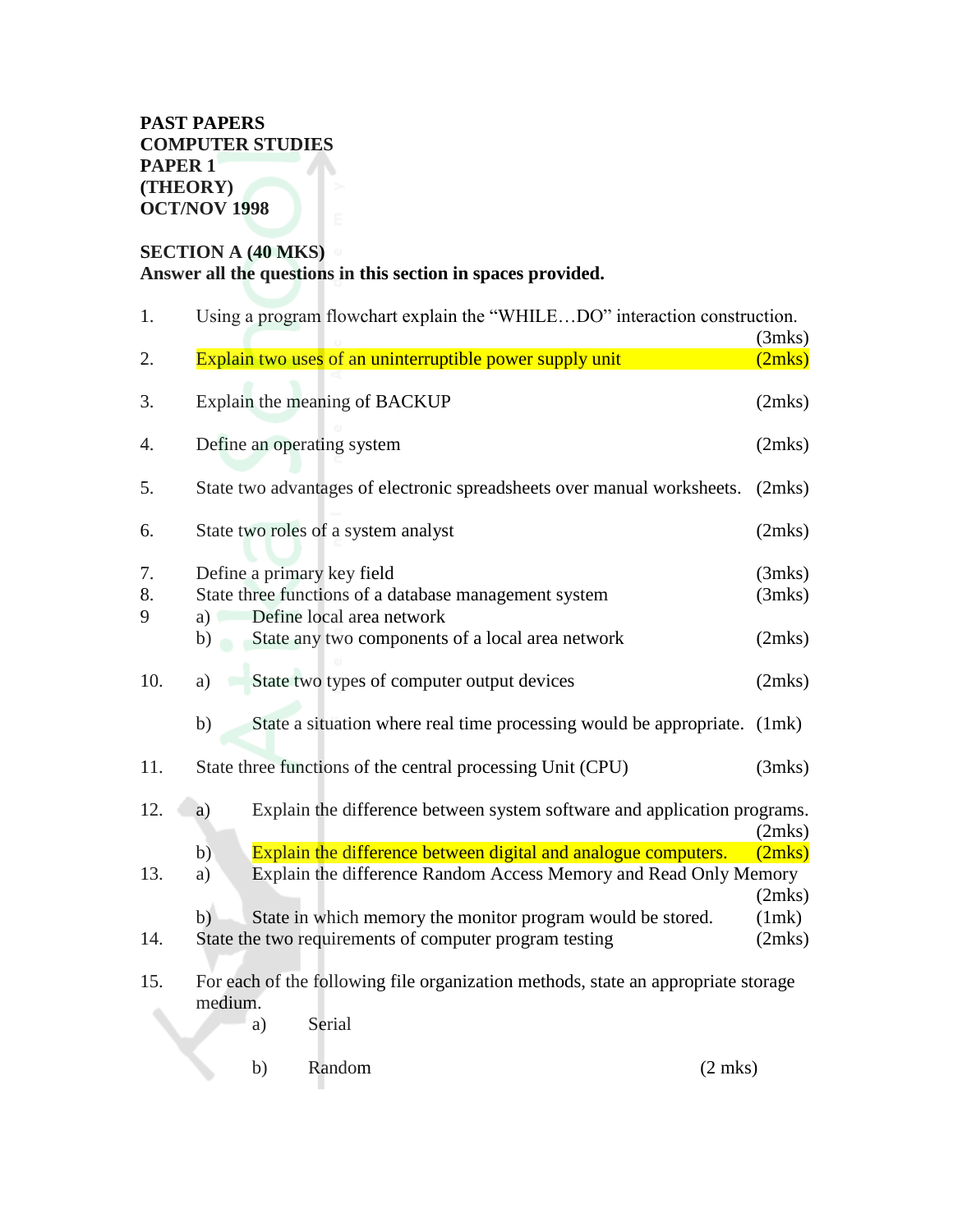#### **PAST PAPERS COMPUTER STUDIES PAPER 1 (THEORY) OCT/NOV 1998**

## **SECTION A (40 MKS) Answer all the questions in this section in spaces provided.**

| 1.            | Using a program flowchart explain the "WHILEDO" interaction construction.                                           |                  |  |  |  |
|---------------|---------------------------------------------------------------------------------------------------------------------|------------------|--|--|--|
| 2.            | Explain two uses of an uninterruptible power supply unit                                                            | (3mks)<br>(2mks) |  |  |  |
| 3.            | Explain the meaning of BACKUP                                                                                       | (2mks)           |  |  |  |
| 4.            | Define an operating system                                                                                          | (2mks)           |  |  |  |
| 5.            | State two advantages of electronic spreadsheets over manual worksheets.                                             | (2mks)           |  |  |  |
| 6.            | State two roles of a system analyst                                                                                 | (2mks)           |  |  |  |
| 7.<br>8.<br>9 | Define a primary key field<br>State three functions of a database management system<br>a) Define local area network | (3mks)<br>(3mks) |  |  |  |
|               | State any two components of a local area network<br>$\mathbf{b}$                                                    | (2mks)           |  |  |  |
| 10.           | State two types of computer output devices<br>a)                                                                    | (2mks)           |  |  |  |
|               | State a situation where real time processing would be appropriate.<br>b)                                            | (1mk)            |  |  |  |
| 11.           | State three functions of the central processing Unit (CPU)                                                          | (3mks)           |  |  |  |
| 12.           | Explain the difference between system software and application programs.<br>a)                                      | (2mks)           |  |  |  |
|               | Explain the difference between digital and analogue computers.<br>b)                                                | (2mks)           |  |  |  |
| 13.           | Explain the difference Random Access Memory and Read Only Memory<br>a)                                              |                  |  |  |  |
|               |                                                                                                                     | (2mks)           |  |  |  |
|               | State in which memory the monitor program would be stored.<br>b)                                                    | (1mk)            |  |  |  |
| 14.           | State the two requirements of computer program testing                                                              | (2mks)           |  |  |  |
| 15.           | For each of the following file organization methods, state an appropriate storage<br>medium.<br>Serial<br>a)        |                  |  |  |  |
|               |                                                                                                                     |                  |  |  |  |

b) Random (2 mks)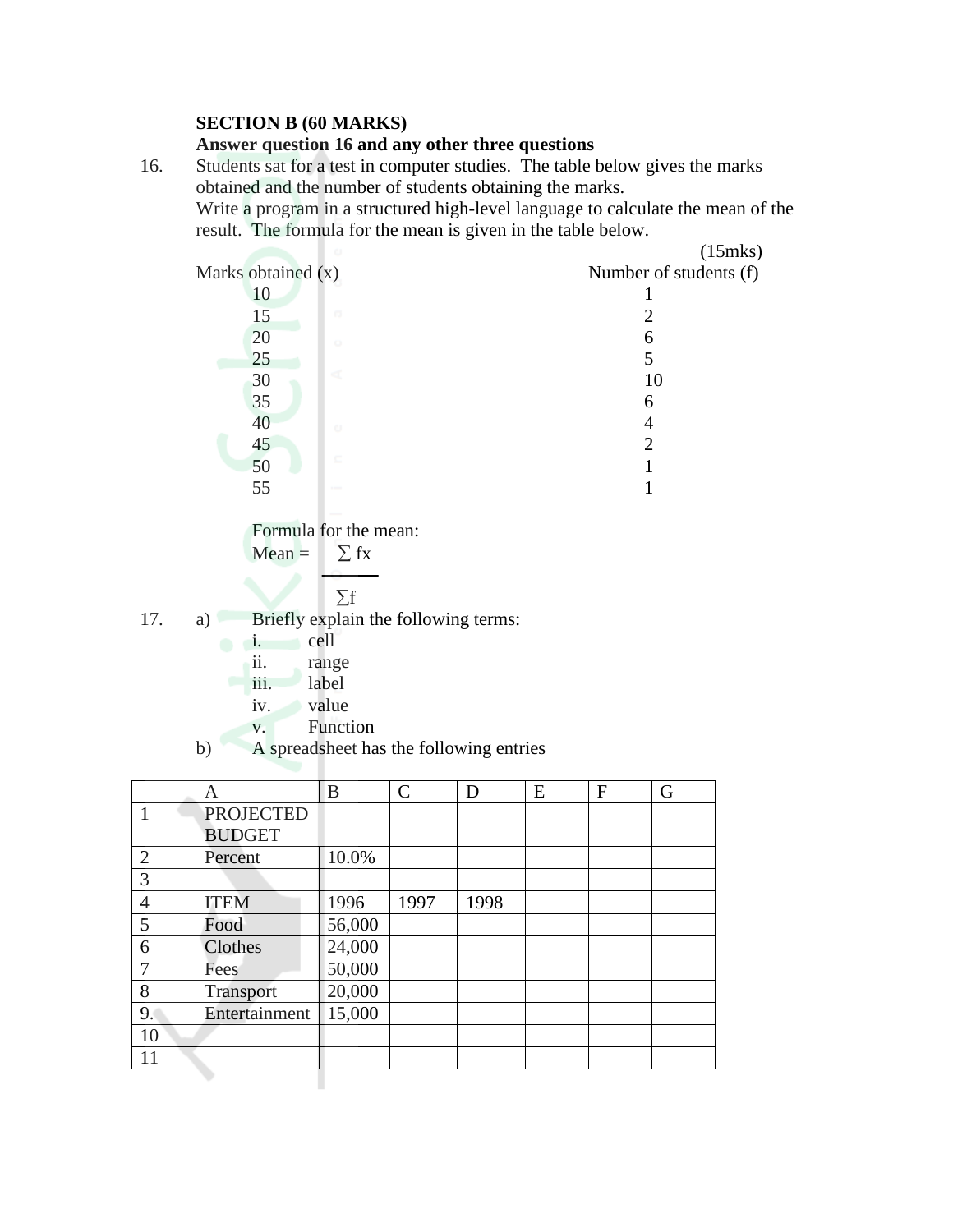#### **SECTION B (60 MARKS)**

#### **Answer question 16 and any other three questions**

16. Students sat for a test in computer studies. The table below gives the marks obtained and the number of students obtaining the marks. Write a program in a structured high-level language to calculate the mean of the result. The formula for the mean is given in the table below.



Formula for the mean:

Mean = 
$$
\sum fx
$$

$$
\boxed{\phantom{0}}\quad \Sigma f
$$

- 17. a) Briefly explain the following terms:
	- i. cell
		- ii. range
		- iii. label
		- iv. value
		- v. Function
	- b) A spreadsheet has the following entries

|                | Α                | B      | $\mathcal{C}$ | D    | E | F | G |
|----------------|------------------|--------|---------------|------|---|---|---|
|                | <b>PROJECTED</b> |        |               |      |   |   |   |
|                | <b>BUDGET</b>    |        |               |      |   |   |   |
| $\overline{2}$ | Percent          | 10.0%  |               |      |   |   |   |
| 3              |                  |        |               |      |   |   |   |
| $\overline{4}$ | <b>ITEM</b>      | 1996   | 1997          | 1998 |   |   |   |
| 5              | Food             | 56,000 |               |      |   |   |   |
| 6              | Clothes          | 24,000 |               |      |   |   |   |
| 7              | Fees             | 50,000 |               |      |   |   |   |
| 8              | Transport        | 20,000 |               |      |   |   |   |
| 9.             | Entertainment    | 15,000 |               |      |   |   |   |
| 10             |                  |        |               |      |   |   |   |
| 11             |                  |        |               |      |   |   |   |
|                |                  |        |               |      |   |   |   |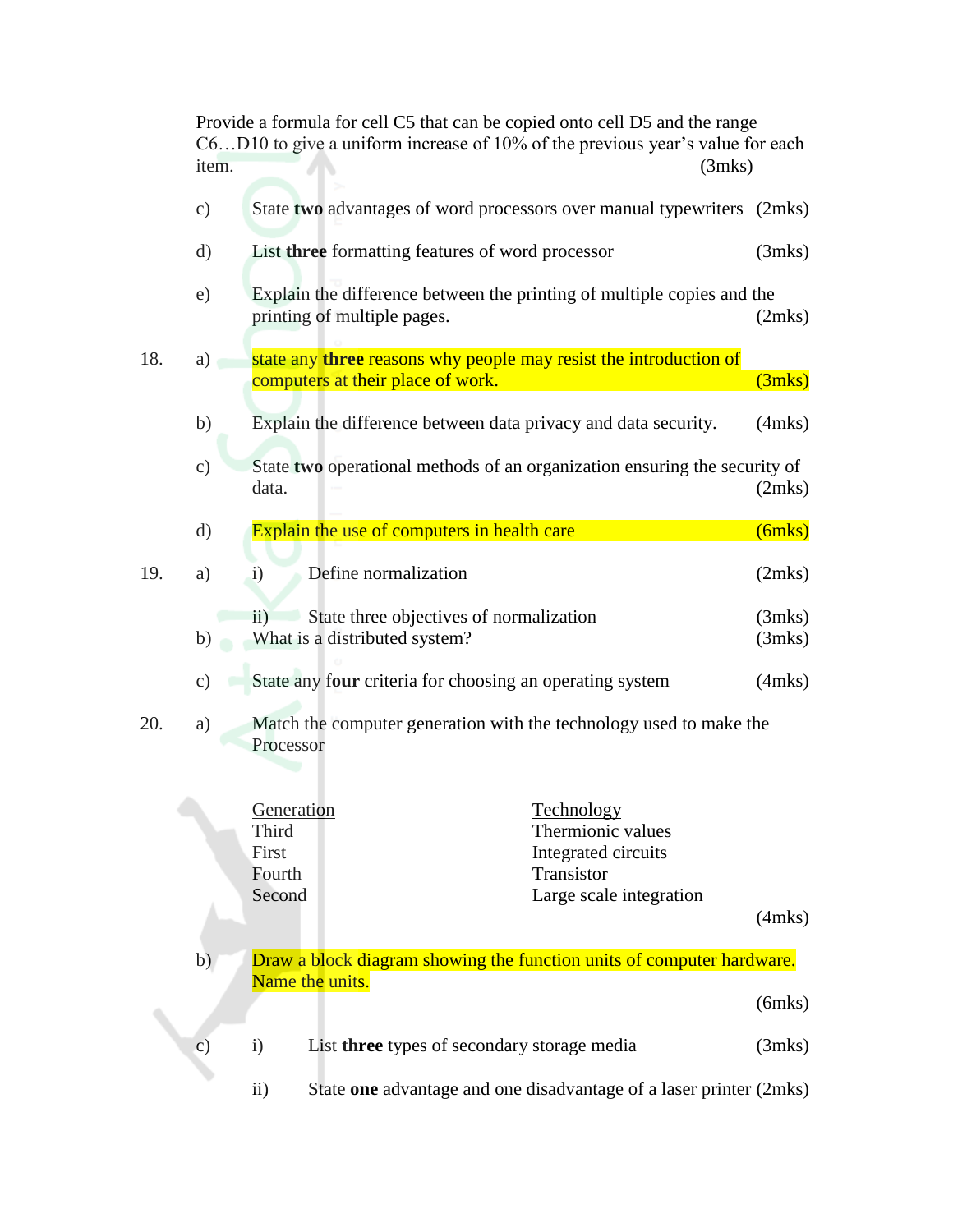Provide a formula for cell C5 that can be copied onto cell D5 and the range C6…D10 to give a uniform increase of 10% of the previous year's value for each item. (3mks)

|     | $\circ$ )     | State two advantages of word processors over manual typewriters (2mks)                                                                              |                  |
|-----|---------------|-----------------------------------------------------------------------------------------------------------------------------------------------------|------------------|
|     | d)            | List three formatting features of word processor                                                                                                    | (3mks)           |
|     | e)            | Explain the difference between the printing of multiple copies and the<br>printing of multiple pages.                                               | (2mks)           |
| 18. | a)            | state any three reasons why people may resist the introduction of<br>computers at their place of work.                                              | (3mks)           |
|     | b)            | Explain the difference between data privacy and data security.                                                                                      | $(4$ mks $)$     |
|     | c)            | State two operational methods of an organization ensuring the security of<br>data.                                                                  | (2mks)           |
|     | d)            | Explain the use of computers in health care                                                                                                         | $(6$ mks $)$     |
| 19. | a)            | Define normalization<br>$\mathbf{i}$                                                                                                                | (2mks)           |
|     | b)            | State three objectives of normalization<br>$\rm ii)$<br>What is a distributed system?                                                               | (3mks)<br>(3mks) |
|     | $\circ$ )     | State any four criteria for choosing an operating system                                                                                            | $(4$ mks $)$     |
| 20. | a)            | Match the computer generation with the technology used to make the<br>Processor                                                                     |                  |
|     |               | Technology<br>Generation<br>Third<br>Thermionic values<br>First<br>Integrated circuits<br>Transistor<br>Fourth<br>Second<br>Large scale integration | $(4$ mks $)$     |
|     | b)            | Draw a block diagram showing the function units of computer hardware.                                                                               |                  |
|     |               | Name the units.                                                                                                                                     | $(6$ mks $)$     |
|     | $\mathbf{c})$ | List three types of secondary storage media<br>$\mathbf{i}$                                                                                         | (3mks)           |
|     |               |                                                                                                                                                     |                  |

ii) State **one** advantage and one disadvantage of a laser printer (2mks)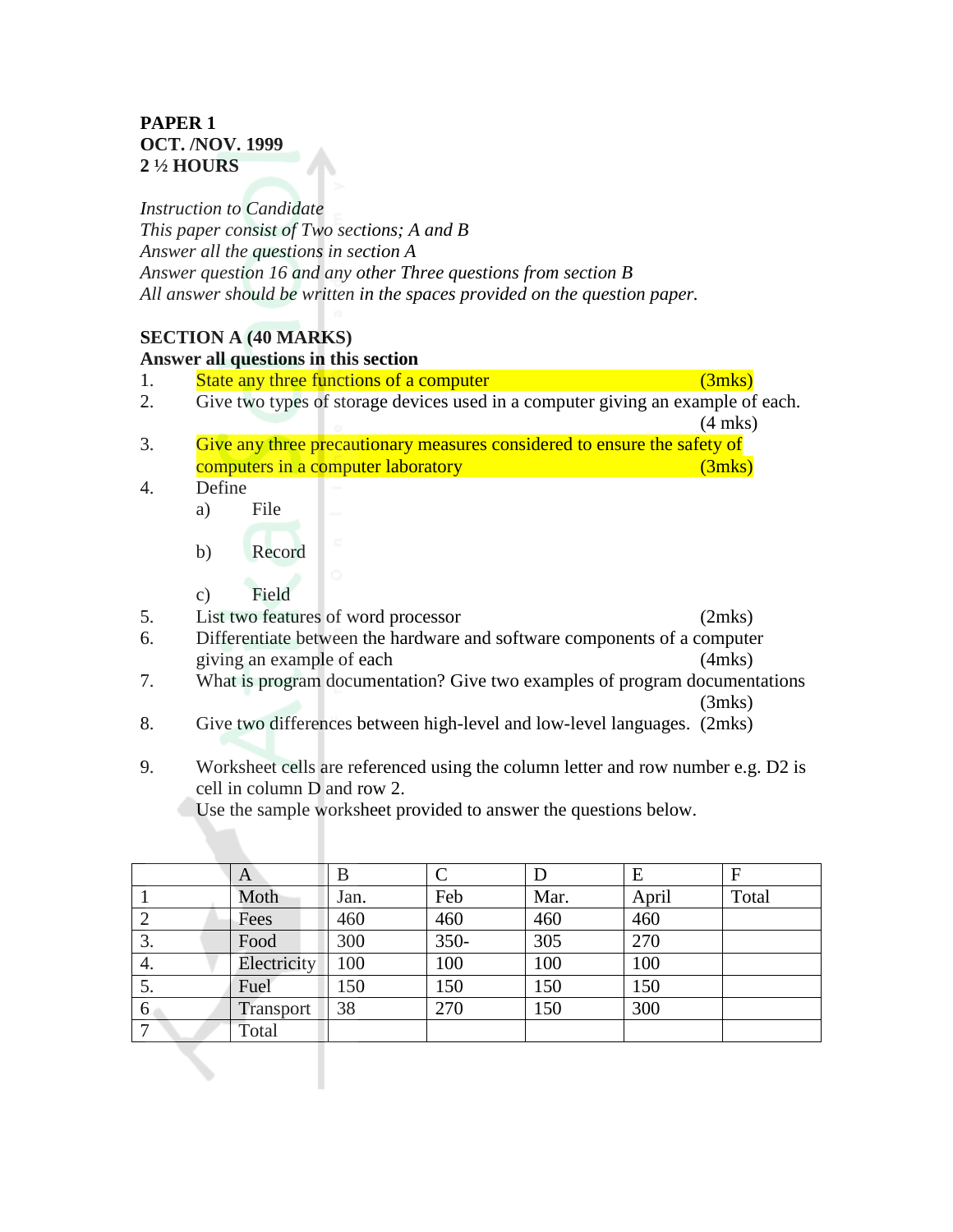#### **PAPER 1 OCT. /NOV. 1999 2 ½ HOURS**

*Instruction to Candidate This paper consist of Two sections; A and B Answer all the questions in section A Answer question 16 and any other Three questions from section B All answer should be written in the spaces provided on the question paper.*

#### **SECTION A (40 MARKS)**

# **Answer all questions in this section**

- 1. State any three functions of a computer (3mks)
- 2. Give two types of storage devices used in a computer giving an example of each. (4 mks)
- 3. Give any three precautionary measures considered to ensure the safety of computers in a computer laboratory (3mks)
- 4. Define
	- a) File
	- b) Record
	- c) Field
- 5. List two features of word processor (2mks)
- 6. Differentiate between the hardware and software components of a computer giving an example of each (4mks)
- 7. What is program documentation? Give two examples of program documentations

(3mks)

- 8. Give two differences between high-level and low-level languages. (2mks)
- 9. Worksheet cells are referenced using the column letter and row number e.g. D2 is cell in column D and row 2.

Use the sample worksheet provided to answer the questions below.

|    | A           | В    |         | D    | Ε     | F     |
|----|-------------|------|---------|------|-------|-------|
|    | Moth        | Jan. | Feb     | Mar. | April | Total |
|    | Fees        | 460  | 460     | 460  | 460   |       |
| 3. | Food        | 300  | $350 -$ | 305  | 270   |       |
| 4. | Electricity | 100  | 100     | 100  | 100   |       |
| 5. | Fuel        | 150  | 150     | 150  | 150   |       |
| 6  | Transport   | 38   | 270     | 150  | 300   |       |
|    | Total       |      |         |      |       |       |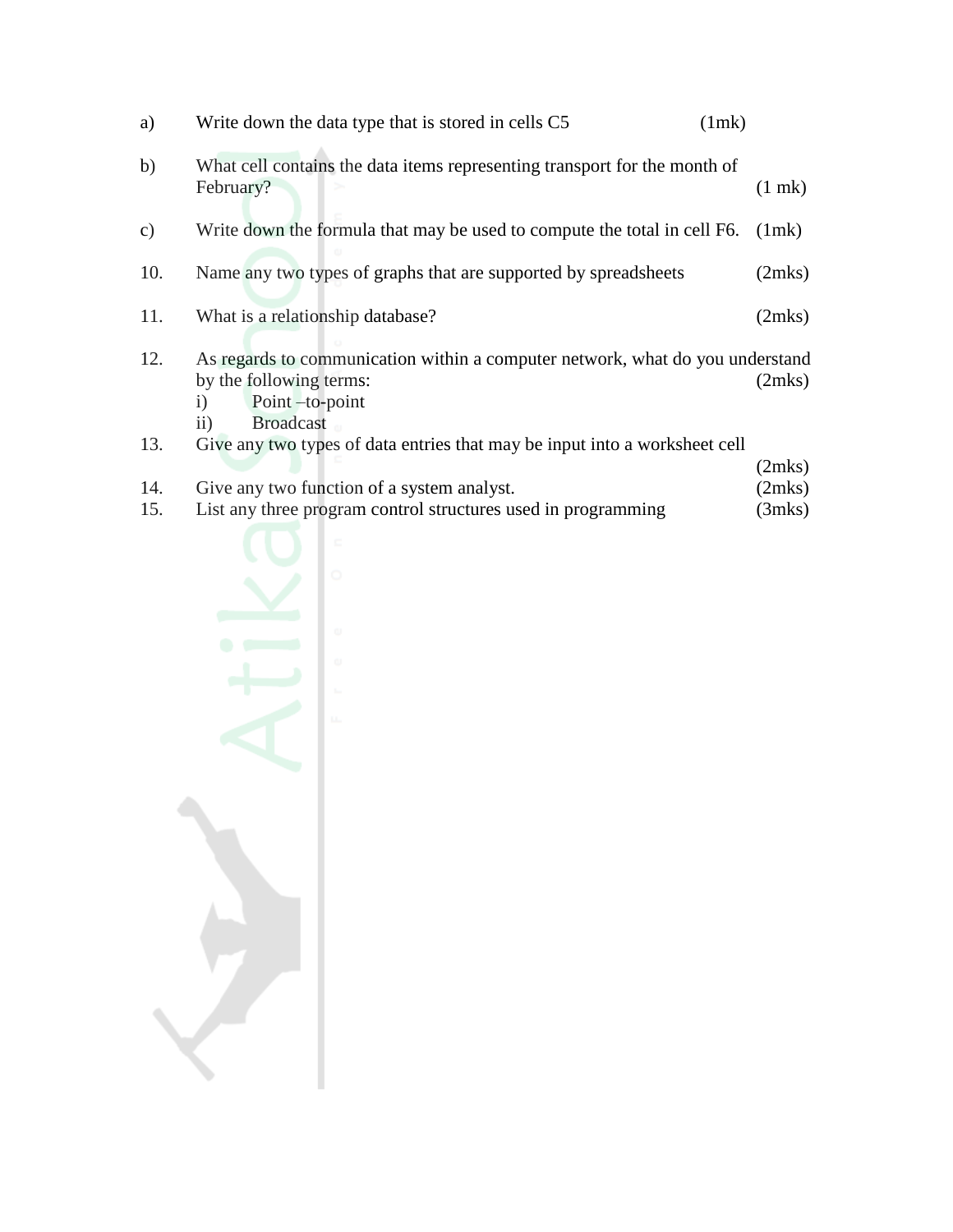| a)  | Write down the data type that is stored in cells C5                                                                                                                   | (1mk)       |
|-----|-----------------------------------------------------------------------------------------------------------------------------------------------------------------------|-------------|
| b)  | What cell contains the data items representing transport for the month of<br>February?                                                                                | $(1$ mk $)$ |
| c)  | Write down the formula that may be used to compute the total in cell F6.                                                                                              | (lmk)       |
| 10. | Name any two types of graphs that are supported by spreadsheets                                                                                                       | (2mks)      |
| 11. | What is a relationship database?                                                                                                                                      | (2mks)      |
| 12. | As regards to communication within a computer network, what do you understand<br>by the following terms:<br>$\mathbf{i}$<br>Point-to-point<br><b>Broadcast</b><br>11) | (2mks)      |
| 13. | Give any two types of data entries that may be input into a worksheet cell                                                                                            |             |

 $(2mks)$ <br> $(2mks)$ 14. Give any two function of a system analyst. (2mks)<br>15. List any three program control structures used in programming (3mks) List any three program control structures used in programming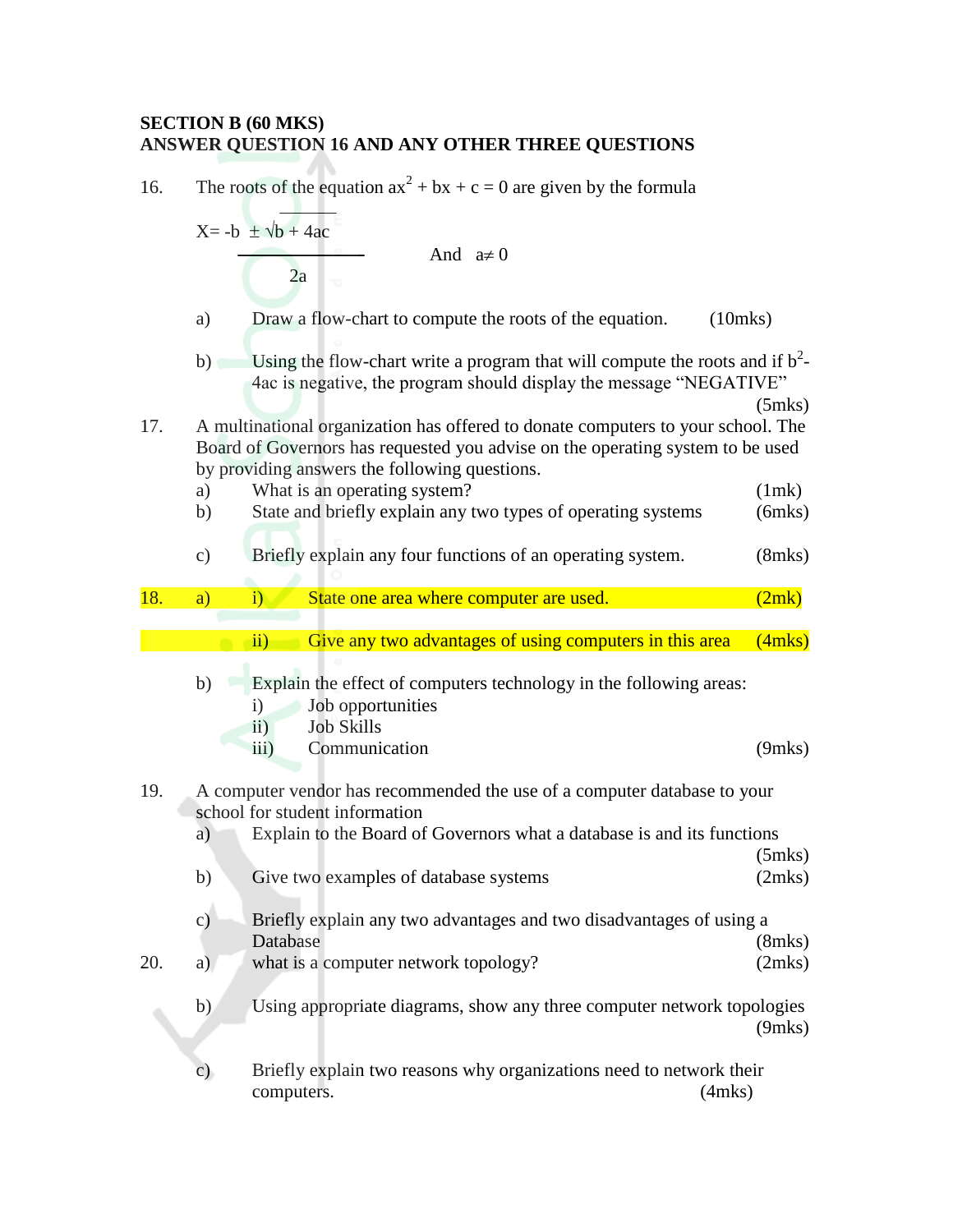## **SECTION B (60 MKS) ANSWER QUESTION 16 AND ANY OTHER THREE QUESTIONS**

| 16. | The roots of the equation $ax^2 + bx + c = 0$ are given by the formula |                                                                                                                                                                                                                     |                        |  |  |
|-----|------------------------------------------------------------------------|---------------------------------------------------------------------------------------------------------------------------------------------------------------------------------------------------------------------|------------------------|--|--|
|     |                                                                        | $X = -b \pm \sqrt{b} + 4ac$                                                                                                                                                                                         |                        |  |  |
|     |                                                                        | And $a \neq 0$<br>2a                                                                                                                                                                                                |                        |  |  |
|     | a)                                                                     | Draw a flow-chart to compute the roots of the equation.                                                                                                                                                             | $(10$ mks $)$          |  |  |
|     | b)                                                                     | Using the flow-chart write a program that will compute the roots and if $b^2$ -<br>4ac is negative, the program should display the message "NEGATIVE"                                                               | $(5$ mks $)$           |  |  |
| 17. |                                                                        | A multinational organization has offered to donate computers to your school. The<br>Board of Governors has requested you advise on the operating system to be used<br>by providing answers the following questions. |                        |  |  |
|     | a)                                                                     | What is an operating system?                                                                                                                                                                                        | (1mk)                  |  |  |
|     | b)                                                                     | State and briefly explain any two types of operating systems                                                                                                                                                        | $(6$ mks $)$           |  |  |
|     | $\mathbf{c})$                                                          | Briefly explain any four functions of an operating system.                                                                                                                                                          | $(8$ mks $)$           |  |  |
| 18. | a)                                                                     | State one area where computer are used.<br>$\ddot{1}$                                                                                                                                                               | (2mk)                  |  |  |
|     |                                                                        |                                                                                                                                                                                                                     |                        |  |  |
|     |                                                                        | Give any two advantages of using computers in this area<br>$\overline{ii}$                                                                                                                                          | $(4$ mks $)$           |  |  |
|     | b)                                                                     | Explain the effect of computers technology in the following areas:<br>Job opportunities<br>$\mathbf{i}$<br><b>Job Skills</b><br>$\ddot{11})$                                                                        |                        |  |  |
|     |                                                                        | Communication<br>$\overline{iii}$ )                                                                                                                                                                                 | $(9$ mks $)$           |  |  |
| 19. |                                                                        | A computer vendor has recommended the use of a computer database to your<br>school for student information                                                                                                          |                        |  |  |
|     | a)                                                                     | Explain to the Board of Governors what a database is and its functions                                                                                                                                              |                        |  |  |
|     | b)                                                                     | Give two examples of database systems                                                                                                                                                                               | $(5$ mks $)$<br>(2mks) |  |  |
|     | c)                                                                     | Briefly explain any two advantages and two disadvantages of using a                                                                                                                                                 |                        |  |  |
| 20. | a)                                                                     | Database<br>what is a computer network topology?                                                                                                                                                                    | $(8$ mks $)$<br>(2mks) |  |  |
|     | b)                                                                     | Using appropriate diagrams, show any three computer network topologies                                                                                                                                              | $(9$ mks $)$           |  |  |
|     |                                                                        |                                                                                                                                                                                                                     |                        |  |  |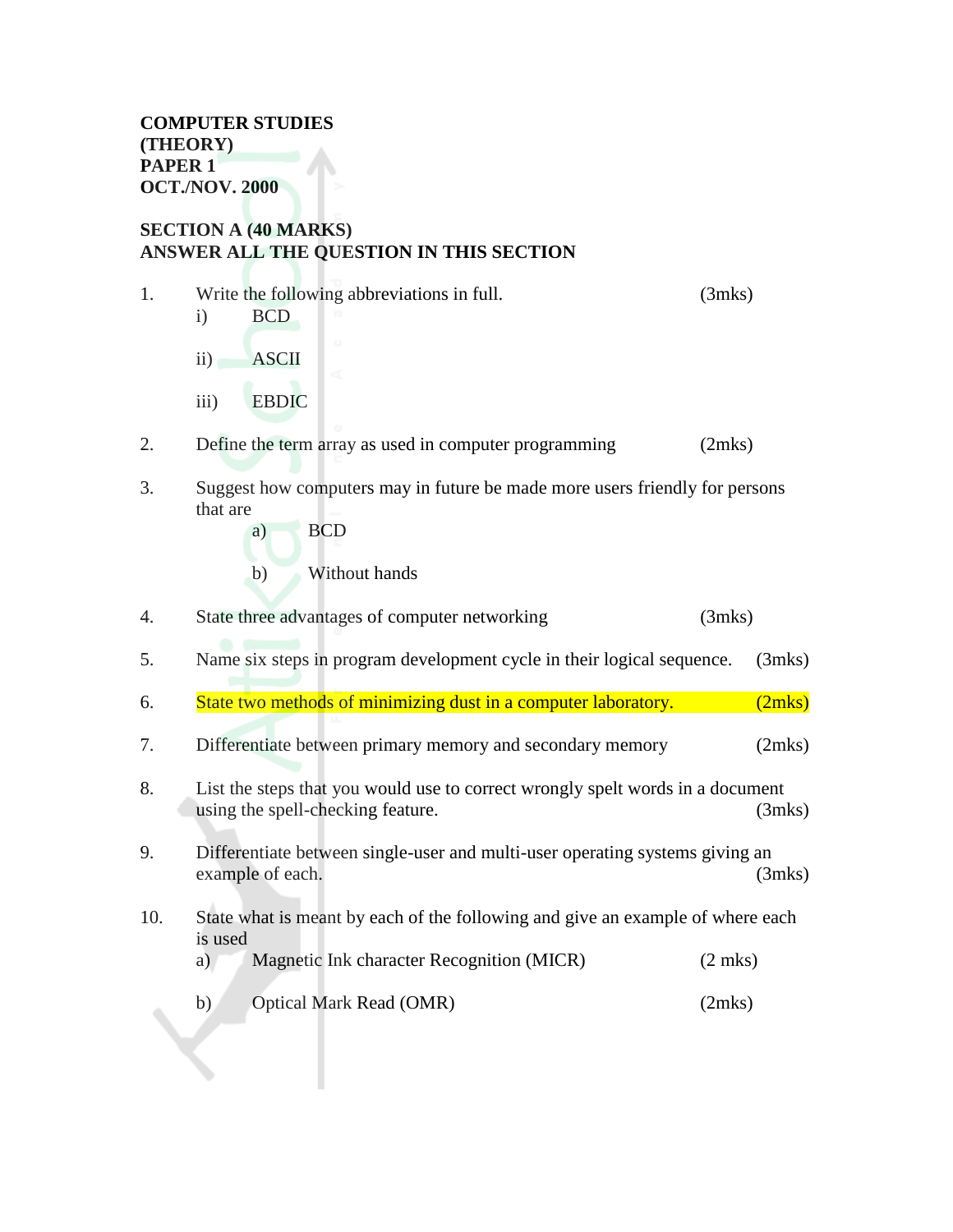#### **SECTION A (40 MARKS) ANSWER ALL THE QUESTION IN THIS SECTION**

1. Write the following abbreviations in full. (3mks) i) BCD ii) ASCII iii) EBDIC 2. Define the term array as used in computer programming (2mks) 3. Suggest how computers may in future be made more users friendly for persons that are a) BCD b) Without hands 4. State three advantages of computer networking (3mks) 5. Name six steps in program development cycle in their logical sequence. (3mks) 6. State two methods of minimizing dust in a computer laboratory. (2mks) 7. Differentiate between primary memory and secondary memory (2mks) 8. List the steps that you would use to correct wrongly spelt words in a document using the spell-checking feature. (3mks) 9. Differentiate between single-user and multi-user operating systems giving an example of each. (3mks) 10. State what is meant by each of the following and give an example of where each is used a) Magnetic Ink character Recognition (MICR) (2 mks) b) Optical Mark Read (OMR) (2mks)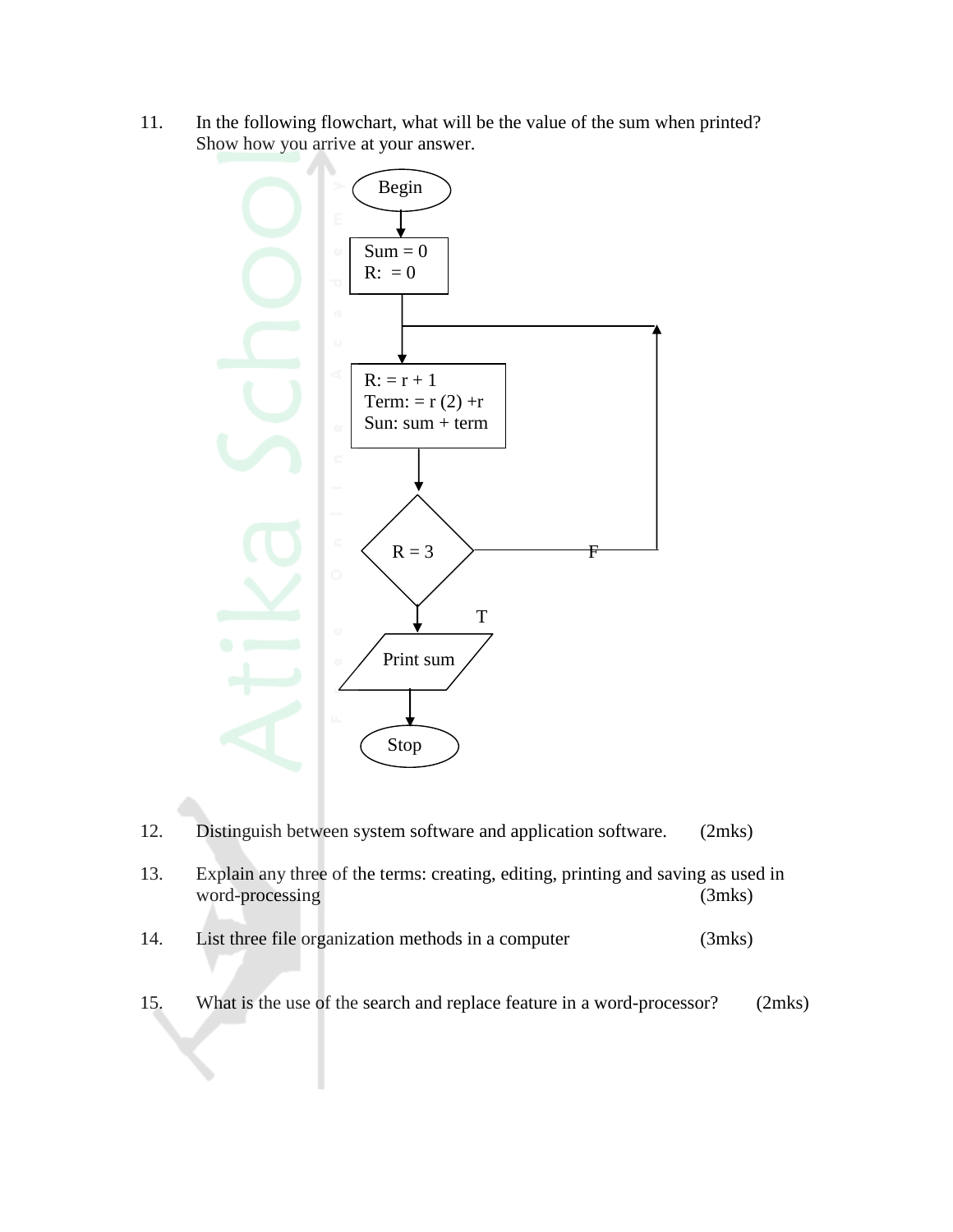11. In the following flowchart, what will be the value of the sum when printed? Show how you arrive at your answer.



- 12. Distinguish between system software and application software. (2mks)
- 13. Explain any three of the terms: creating, editing, printing and saving as used in word-processing (3mks)
- 14. List three file organization methods in a computer (3mks)
- 15. What is the use of the search and replace feature in a word-processor? (2mks)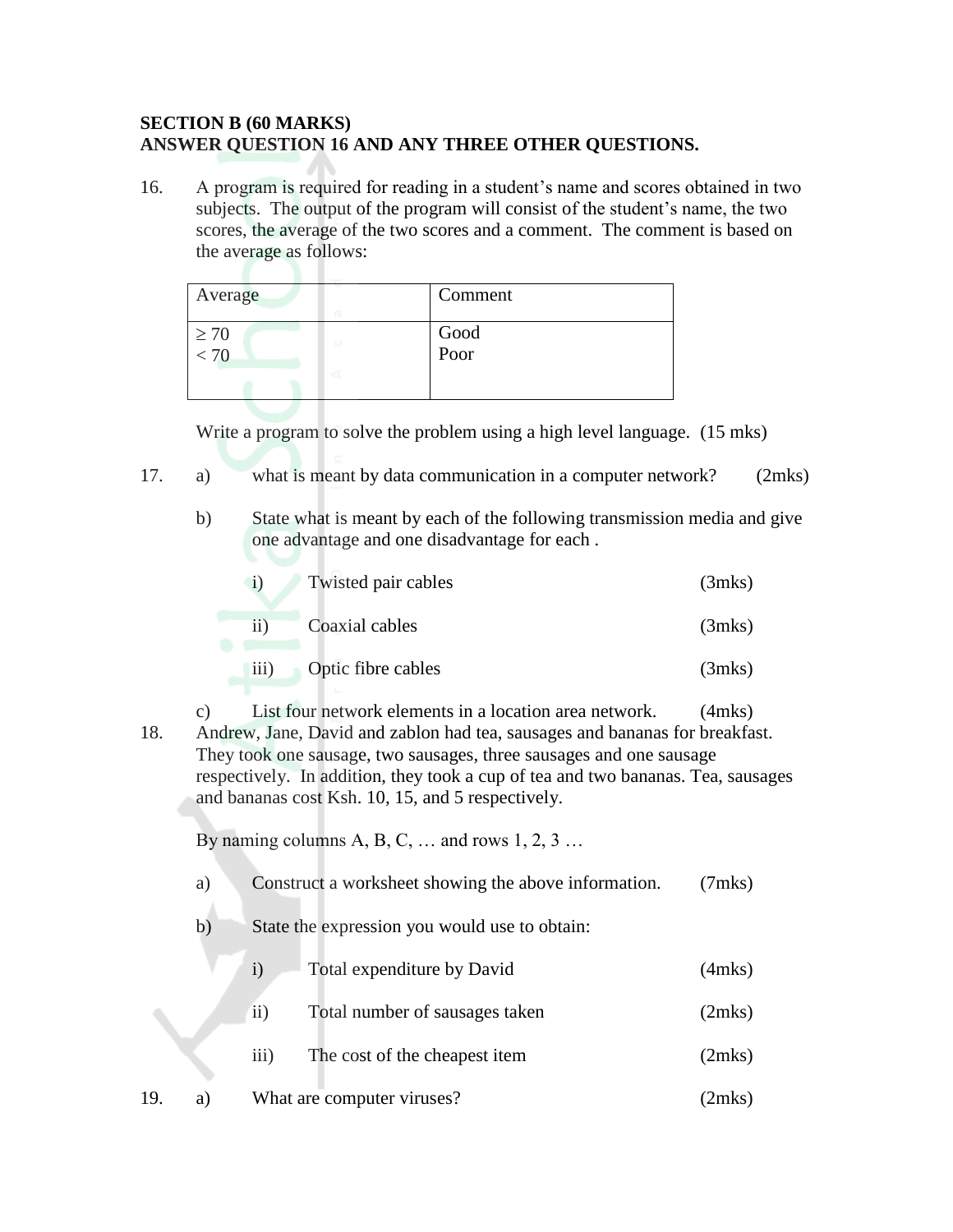#### **SECTION B (60 MARKS) ANSWER QUESTION 16 AND ANY THREE OTHER QUESTIONS.**

16. A program is required for reading in a student's name and scores obtained in two subjects. The output of the program will consist of the student's name, the two scores, the average of the two scores and a comment. The comment is based on the average as follows:

| Average                         | Comment      |  |
|---------------------------------|--------------|--|
| $\geq 70$<br>o<br>$\frac{1}{2}$ | Good<br>Poor |  |

Write a program to solve the problem using a high level language. (15 mks)

- 17. a) what is meant by data communication in a computer network? (2mks)
	- b) State what is meant by each of the following transmission media and give one advantage and one disadvantage for each .

| Twisted pair cables | (3mks) |
|---------------------|--------|
| Coaxial cables      | (3mks) |

iii) Optic fibre cables (3mks)

c) List four network elements in a location area network. (4mks) 18. Andrew, Jane, David and zablon had tea, sausages and bananas for breakfast. They took one sausage, two sausages, three sausages and one sausage respectively. In addition, they took a cup of tea and two bananas. Tea, sausages and bananas cost Ksh. 10, 15, and 5 respectively.

By naming columns A, B, C,  $\dots$  and rows 1, 2, 3 $\dots$ 

- a) Construct a worksheet showing the above information. (7mks)
- b) State the expression you would use to obtain:

|     |     |                  | Total expenditure by David     | $(4$ mks $)$ |
|-----|-----|------------------|--------------------------------|--------------|
|     |     | 11)              | Total number of sausages taken | (2mks)       |
|     |     | $\overline{111}$ | The cost of the cheapest item  | (2mks)       |
| 19. | a l |                  | What are computer viruses?     | 2mks)        |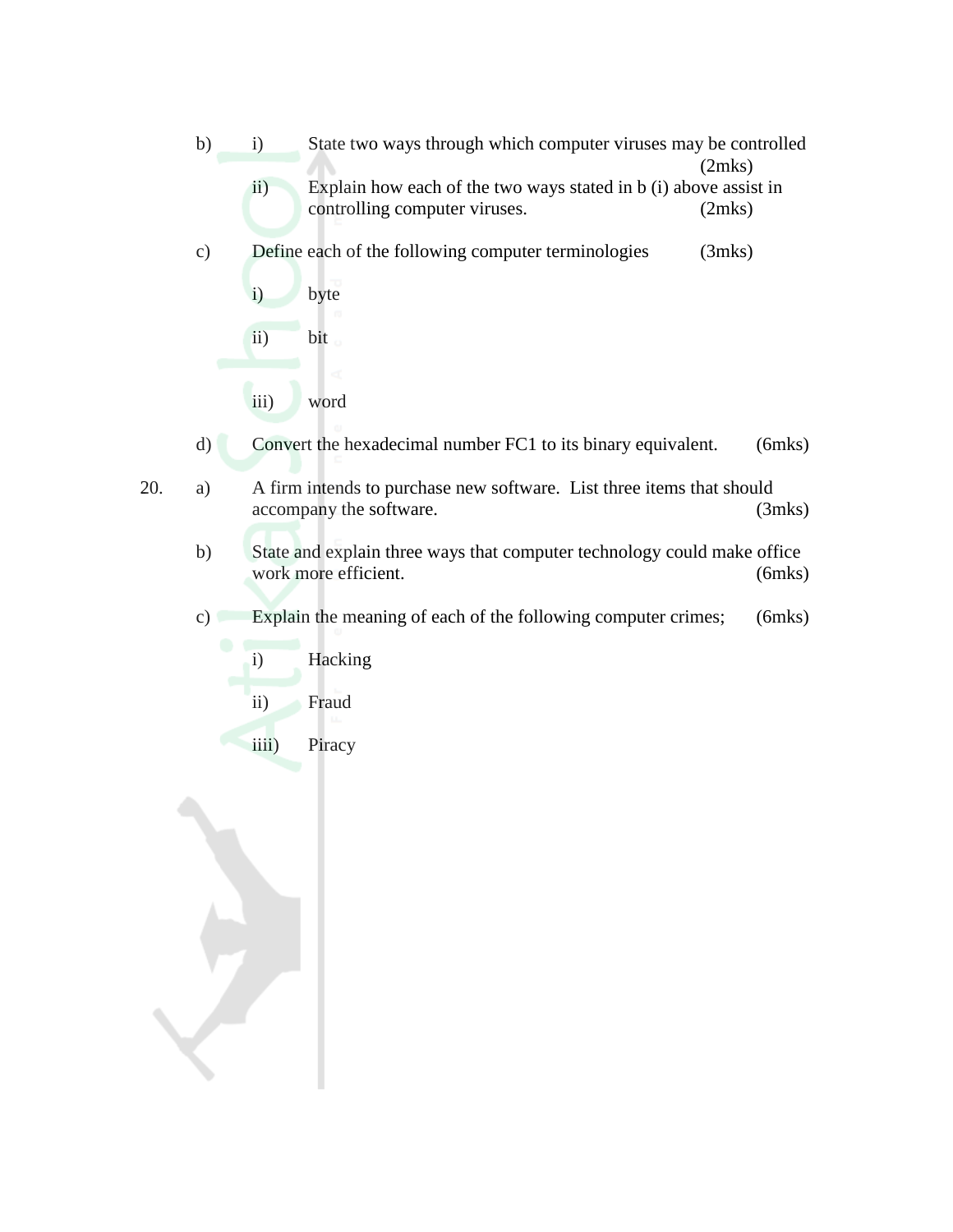- b) i) State two ways through which computer viruses may be controlled (2mks) ii) Explain how each of the two ways stated in b (i) above assist in controlling computer viruses. (2mks)
- c) Define each of the following computer terminologies (3mks)
	- i) byte ii) bit iii) word
- d) Convert the hexadecimal number FC1 to its binary equivalent. (6mks)
- 20. a) A firm intends to purchase new software. List three items that should accompany the software. (3mks)
	- b) State and explain three ways that computer technology could make office work more efficient. (6mks)
	- c) Explain the meaning of each of the following computer crimes; (6mks)
		- i) Hacking ii) Fraud
			- iiii) Piracy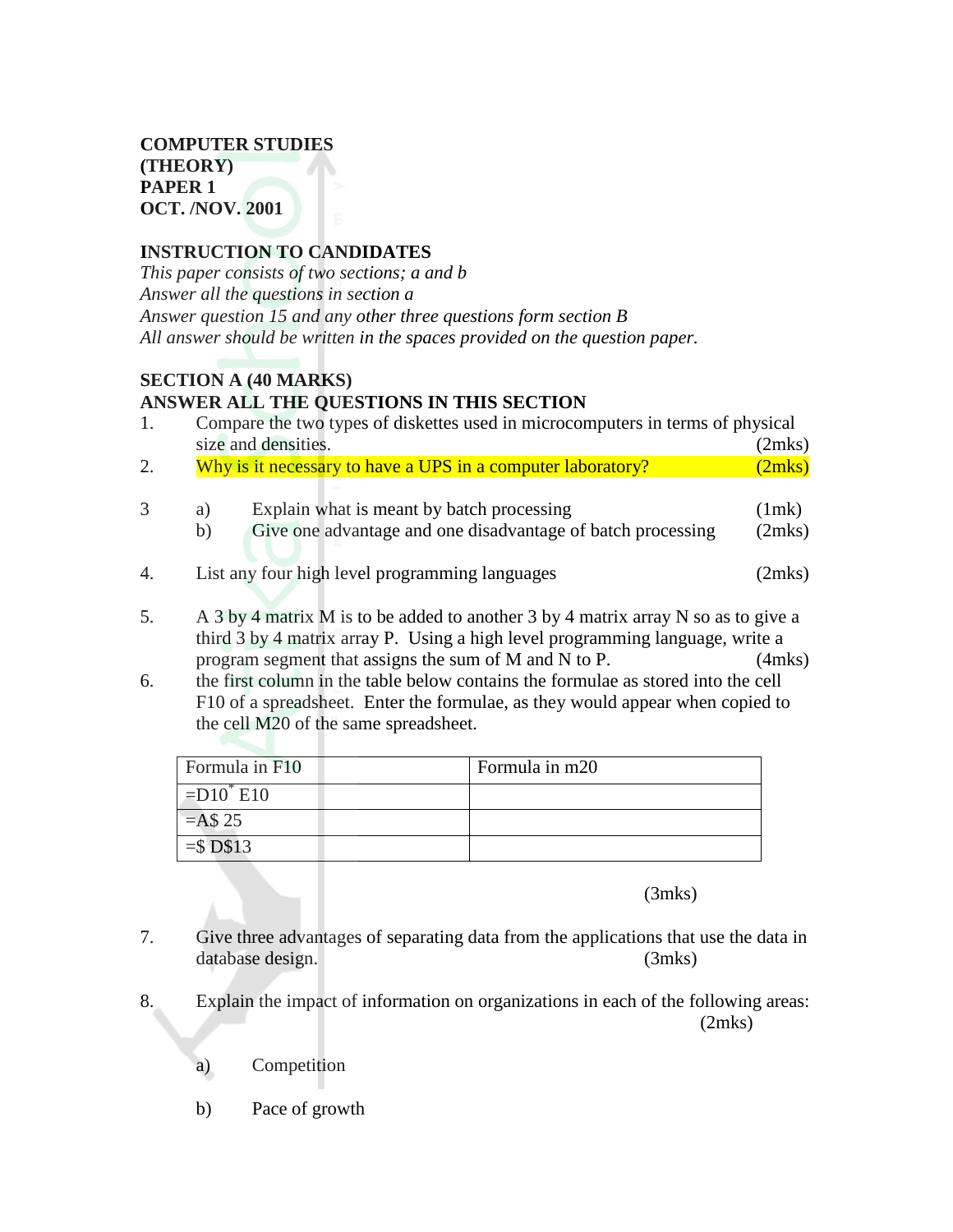#### **INSTRUCTION TO CANDIDATES**

*This paper consists of two sections; a and b Answer all the questions in section a Answer question 15 and any other three questions form section B All answer should be written in the spaces provided on the question paper.*

#### **SECTION A (40 MARKS) ANSWER ALL THE QUESTIONS IN THIS SECTION**

| 1.               |                     | Compare the two types of diskettes used in microcomputers in terms of physical                                                                                     |        |  |  |  |  |
|------------------|---------------------|--------------------------------------------------------------------------------------------------------------------------------------------------------------------|--------|--|--|--|--|
|                  | size and densities. |                                                                                                                                                                    |        |  |  |  |  |
| 2.               |                     | Why is it necessary to have a UPS in a computer laboratory?                                                                                                        | (2mks) |  |  |  |  |
|                  |                     |                                                                                                                                                                    |        |  |  |  |  |
| 3                | a)                  | Explain what is meant by batch processing                                                                                                                          | (1mk)  |  |  |  |  |
|                  | b)                  | Give one advantage and one disadvantage of batch processing                                                                                                        | (2mks) |  |  |  |  |
| $\overline{4}$ . |                     | List any four high level programming languages                                                                                                                     | (2mks) |  |  |  |  |
|                  |                     |                                                                                                                                                                    |        |  |  |  |  |
|                  |                     | $\lambda$ 01 $\lambda$ $\lambda$ $\lambda$ $\lambda$ $\lambda$ $\lambda$ 1 11 $\lambda$ $\lambda$ 1 01 $\lambda$ $\lambda$ $\lambda$ $\lambda$ $\lambda$ $\lambda$ |        |  |  |  |  |

- 5. A 3 by 4 matrix M is to be added to another 3 by 4 matrix array N so as to give a third 3 by 4 matrix array P. Using a high level programming language, write a program segment that assigns the sum of M and N to P. (4mks)
- 6. the first column in the table below contains the formulae as stored into the cell F10 of a spreadsheet. Enter the formulae, as they would appear when copied to the cell M20 of the same spreadsheet.

| Formula in F10                | Formula in m20 |
|-------------------------------|----------------|
| $\vert$ =D10 <sup>*</sup> E10 |                |
| $=$ A\$ 25                    |                |
| $=$ \$D\$13                   |                |

(3mks)

- 7. Give three advantages of separating data from the applications that use the data in database design. (3mks)
- 8. Explain the impact of information on organizations in each of the following areas: (2mks)
	- a) Competition
	- b) Pace of growth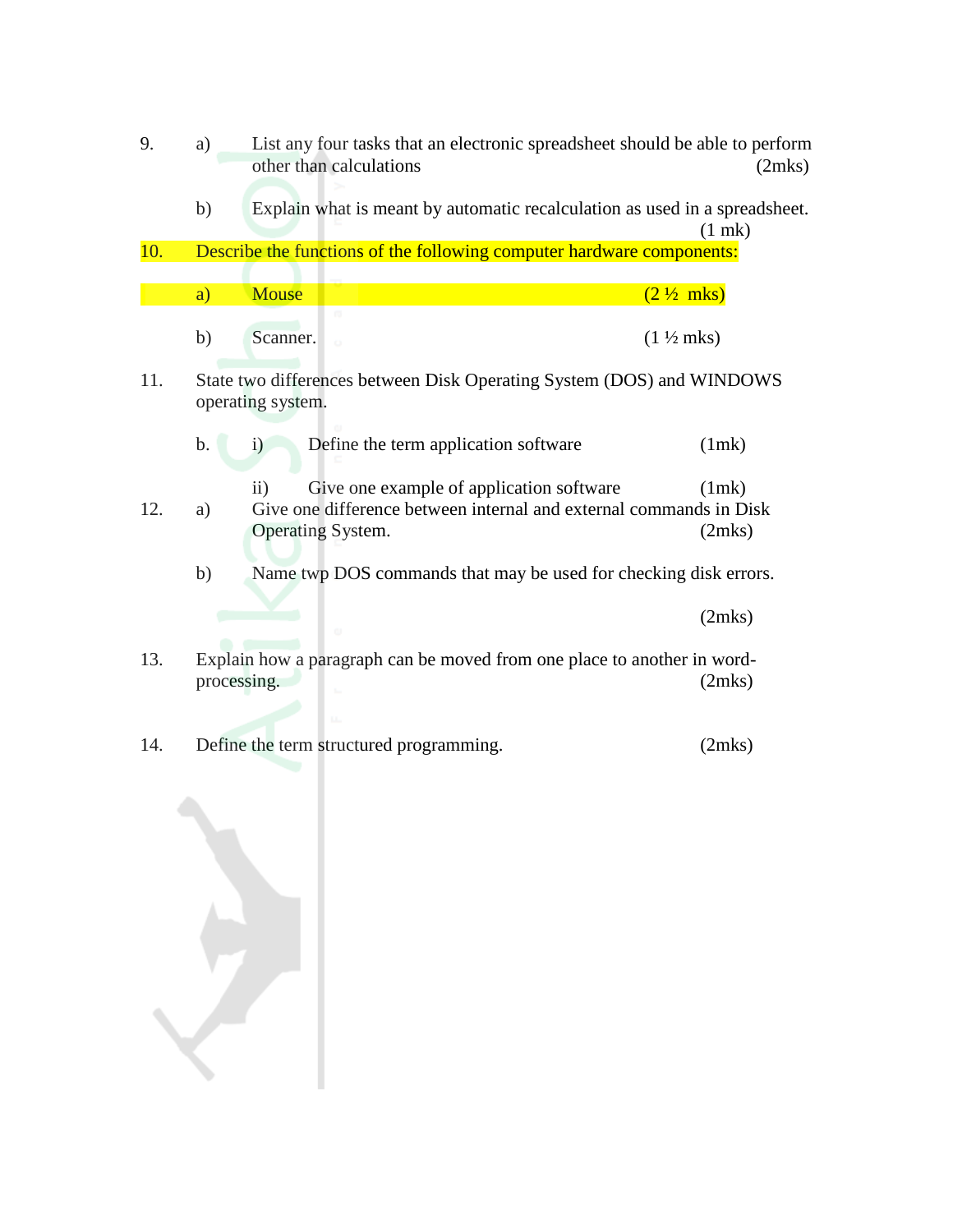- 9. a) List any four tasks that an electronic spreadsheet should be able to perform other than calculations (2mks)
	- b) Explain what is meant by automatic recalculation as used in a spreadsheet. (1 mk)

10. Describe the functions of the following computer hardware components:

| - --<br>. <u>.</u><br>'⊢'<br>◡ |  |  |
|--------------------------------|--|--|

a) Mouse  $(2 \frac{1}{2}$  mks)

11. State two differences between Disk Operating System (DOS) and WINDOWS operating system.

|  | Define the term application software | (1mk) |
|--|--------------------------------------|-------|
|  |                                      |       |

- ii) Give one example of application software (1mk) 12. a) Give one difference between internal and external commands in Disk Operating System. (2mks)
	- b) Name twp DOS commands that may be used for checking disk errors.

(2mks)

- 13. Explain how a paragraph can be moved from one place to another in wordprocessing. (2mks)
- 14. Define the term structured programming. (2mks)

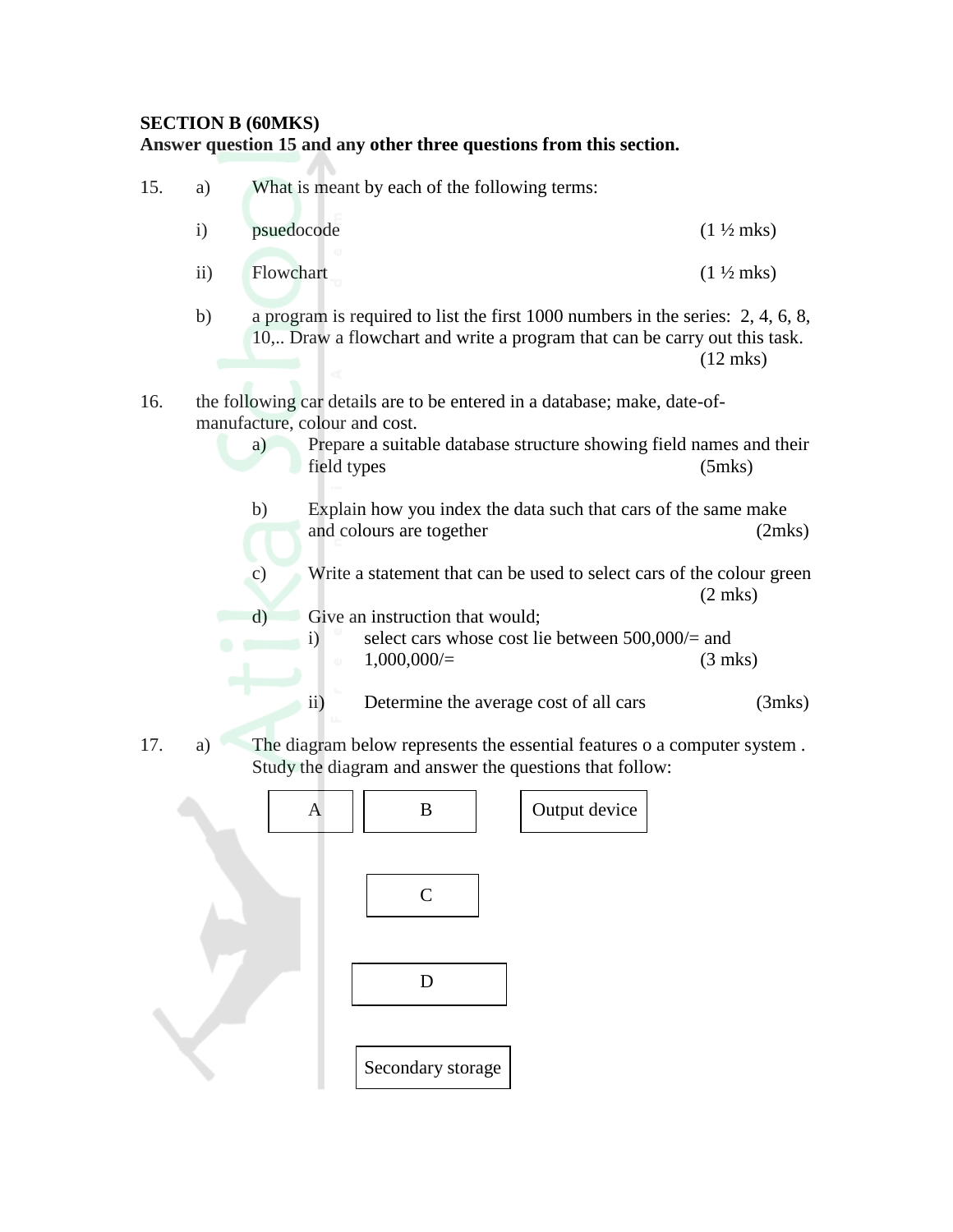#### **SECTION B (60MKS) Answer question 15 and any other three questions from this section.**



Secondary storage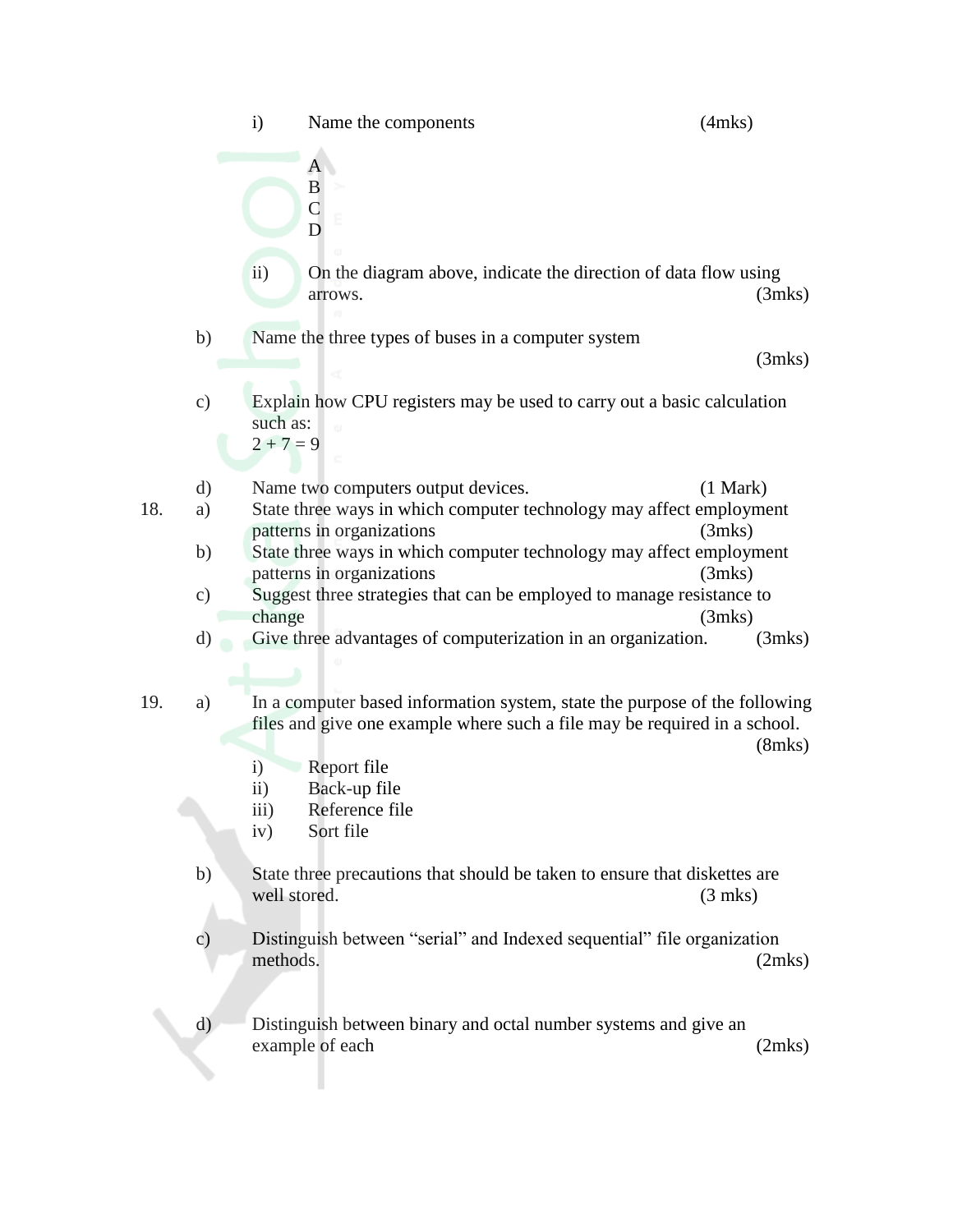|     |                     | $\mathbf{i}$<br>Name the components                                                                                                                                                                                                                                             | $(4$ mks $)$       |
|-----|---------------------|---------------------------------------------------------------------------------------------------------------------------------------------------------------------------------------------------------------------------------------------------------------------------------|--------------------|
|     |                     | A<br>B<br>$\overline{C}$<br>D                                                                                                                                                                                                                                                   |                    |
|     |                     | ii)<br>On the diagram above, indicate the direction of data flow using<br>arrows.                                                                                                                                                                                               | (3mks)             |
|     | b)                  | Name the three types of buses in a computer system                                                                                                                                                                                                                              | (3mks)             |
|     | $\mathbf{c})$       | Explain how CPU registers may be used to carry out a basic calculation<br>such as:<br>$2 + 7 = 9$                                                                                                                                                                               |                    |
| 18. | $\rm d)$<br>a)      | Name two computers output devices.<br>State three ways in which computer technology may affect employment<br>patterns in organizations                                                                                                                                          | (1 Mark)<br>(3mks) |
|     | b)<br>$\mathbf{c})$ | State three ways in which computer technology may affect employment<br>patterns in organizations<br>Suggest three strategies that can be employed to manage resistance to                                                                                                       | (3mks)             |
|     | d)                  | change<br>Give three advantages of computerization in an organization.                                                                                                                                                                                                          | (3mks)<br>(3mks)   |
| 19. | a)                  | In a computer based information system, state the purpose of the following<br>files and give one example where such a file may be required in a school.<br>$\mathbf{i}$<br>Report file<br>Back-up file<br>$\rm ii)$<br>$\overline{iii}$ )<br>Reference file<br>iv)<br>Sort file | $(8$ mks $)$       |
|     | b)                  | State three precautions that should be taken to ensure that diskettes are<br>well stored.                                                                                                                                                                                       | $(3 \text{ mks})$  |
|     | $\mathbf{c})$       | Distinguish between "serial" and Indexed sequential" file organization<br>methods.                                                                                                                                                                                              | (2mks)             |
|     | $\mathbf{d}$        | Distinguish between binary and octal number systems and give an<br>example of each                                                                                                                                                                                              | (2mks)             |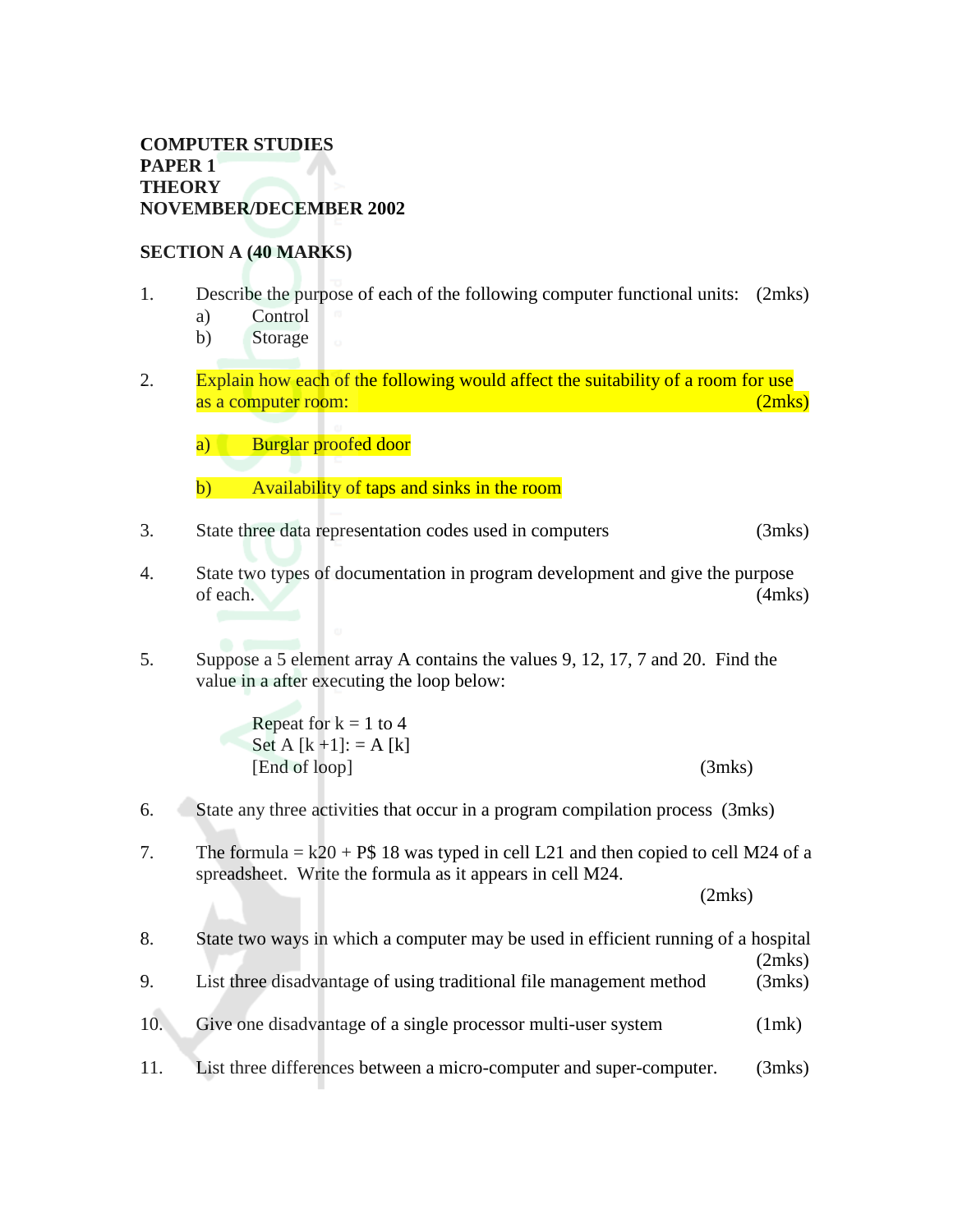#### **COMPUTER STUDIES PAPER 1** V **THEORY NOVEMBER/DECEMBER 2002**

#### **SECTION A (40 MARKS)**

- 1. Describe the purpose of each of the following computer functional units: (2mks)
	- a) Control
	- b) Storage
- 2. Explain how each of the following would affect the suitability of a room for use as a computer room:  $(2mks)$

a) Burglar proofed door

- b) Availability of taps and sinks in the room
- 3. State three data representation codes used in computers (3mks)
- 4. State two types of documentation in program development and give the purpose of each. (4mks)
- 5. Suppose a 5 element array A contains the values 9, 12, 17, 7 and 20. Find the value in a after executing the loop below:

| Repeat for $k = 1$ to 4   |        |
|---------------------------|--------|
| Set A $[k+1]$ : = A $[k]$ |        |
| [End of loop]             | (3mks) |

- 6. State any three activities that occur in a program compilation process (3mks)
- 7. The formula =  $k20 + P$$  18 was typed in cell L21 and then copied to cell M24 of a spreadsheet. Write the formula as it appears in cell M24.

(2mks)

| 8.  | State two ways in which a computer may be used in efficient running of a hospital |                  |
|-----|-----------------------------------------------------------------------------------|------------------|
| 9.  | List three disadvantage of using traditional file management method               | (2mks)<br>(3mks) |
| 10. | Give one disadvantage of a single processor multi-user system                     | (1mk)            |
| 11. | List three differences between a micro-computer and super-computer.               | (3mks)           |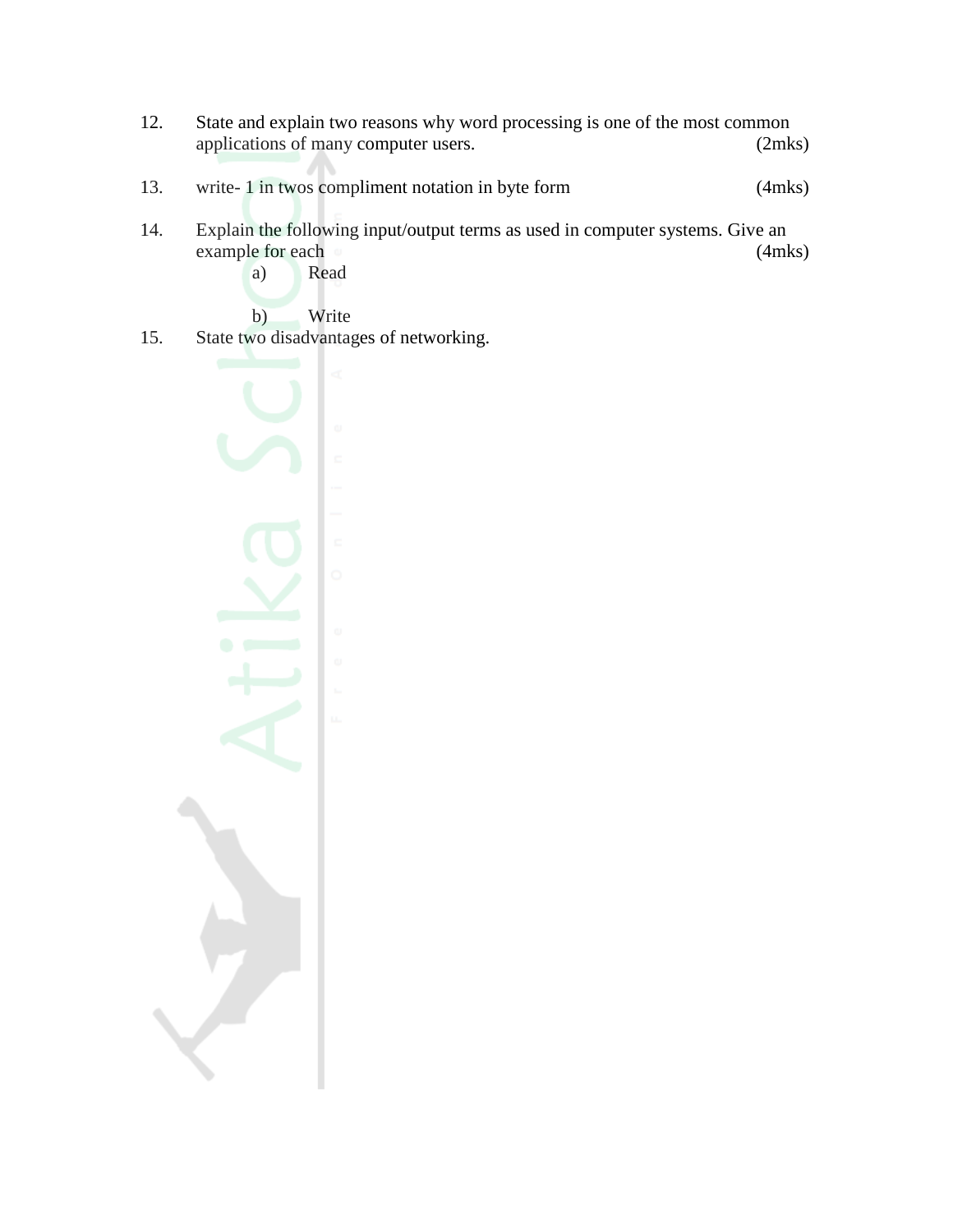- 12. State and explain two reasons why word processing is one of the most common applications of many computer users. (2mks)
- 13. write- 1 in twos compliment notation in byte form (4mks)
- 14. Explain the following input/output terms as used in computer systems. Give an example for each (4mks) a) Read
	- b) Write
- 15. State two disadvantages of networking.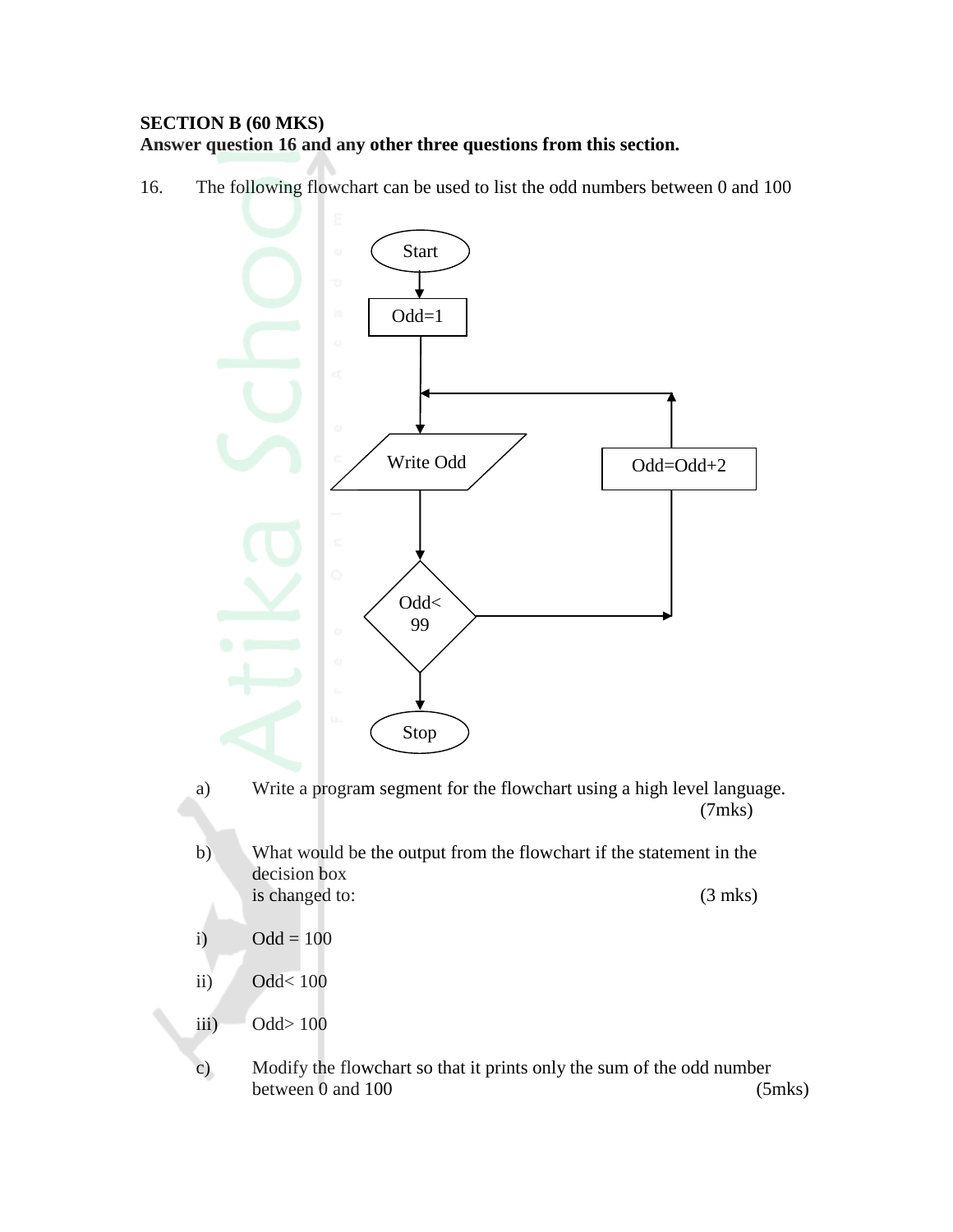## **SECTION B (60 MKS) Answer question 16 and any other three questions from this section.**

16. The following flowchart can be used to list the odd numbers between 0 and 100



- a) Write a program segment for the flowchart using a high level language. (7mks)
- b) What would be the output from the flowchart if the statement in the decision box is changed to: (3 mks)
- i)  $Odd = 100$
- ii) Odd< 100
- iii)  $Odd > 100$
- c) Modify the flowchart so that it prints only the sum of the odd number between 0 and 100 (5mks)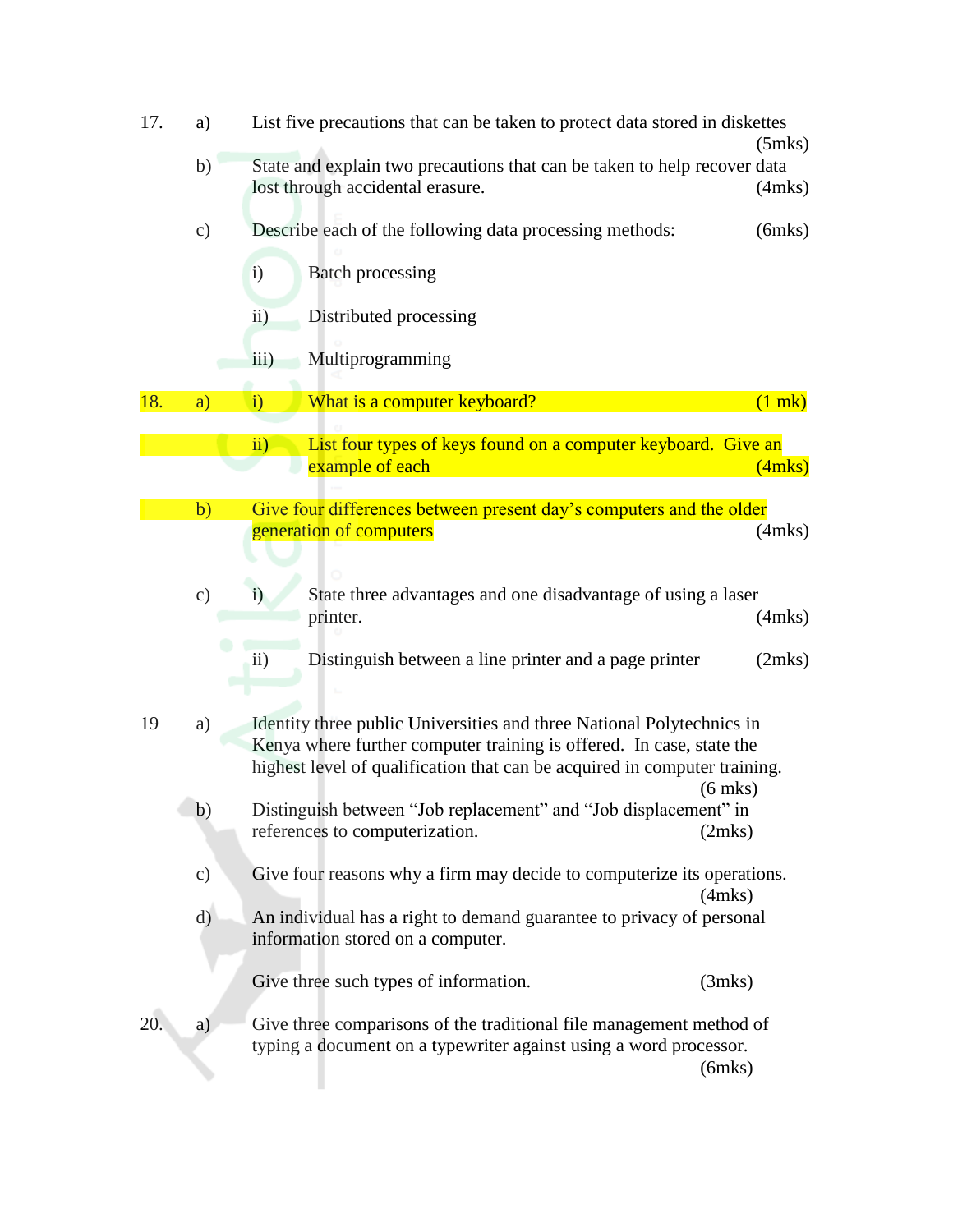| 17. | a)            | List five precautions that can be taken to protect data stored in diskettes                                                                                                                                                             | $(5$ mks $)$ |
|-----|---------------|-----------------------------------------------------------------------------------------------------------------------------------------------------------------------------------------------------------------------------------------|--------------|
|     | b)            | State and explain two precautions that can be taken to help recover data<br>lost through accidental erasure.                                                                                                                            | $(4$ mks $)$ |
|     | $\mathbf{c})$ | Describe each of the following data processing methods:                                                                                                                                                                                 | $(6$ mks $)$ |
|     |               | $\mathbf{i}$<br><b>Batch processing</b>                                                                                                                                                                                                 |              |
|     |               | Distributed processing<br>$\rm ii)$                                                                                                                                                                                                     |              |
|     |               | Multiprogramming<br>$\overline{iii}$ )                                                                                                                                                                                                  |              |
| 18. | a)            | What is a computer keyboard?<br>$\mathbf{i}$                                                                                                                                                                                            | $(1$ mk)     |
|     |               | $\overline{ii}$ )<br>List four types of keys found on a computer keyboard. Give an<br>example of each                                                                                                                                   | (4mks)       |
|     | b)            | Give four differences between present day's computers and the older                                                                                                                                                                     |              |
|     |               | generation of computers                                                                                                                                                                                                                 | $(4$ mks $)$ |
|     | $\mathbf{c})$ | State three advantages and one disadvantage of using a laser<br>$\mathbf{i}$<br>printer.                                                                                                                                                | $(4$ mks $)$ |
|     |               | Distinguish between a line printer and a page printer<br>$\rm ii)$                                                                                                                                                                      | (2mks)       |
| 19  | a)            | Identity three public Universities and three National Polytechnics in<br>Kenya where further computer training is offered. In case, state the<br>highest level of qualification that can be acquired in computer training.<br>$(6$ mks) |              |
|     | b)            | Distinguish between "Job replacement" and "Job displacement" in<br>references to computerization.<br>(2mks)                                                                                                                             |              |
|     | $\mathbf{c})$ | Give four reasons why a firm may decide to computerize its operations.<br>$(4$ mks $)$                                                                                                                                                  |              |
|     | $\mathrm{d}$  | An individual has a right to demand guarantee to privacy of personal<br>information stored on a computer.                                                                                                                               |              |
|     |               | Give three such types of information.<br>(3mks)                                                                                                                                                                                         |              |
| 20. | a)            | Give three comparisons of the traditional file management method of<br>typing a document on a typewriter against using a word processor.<br>$(6$ mks $)$                                                                                |              |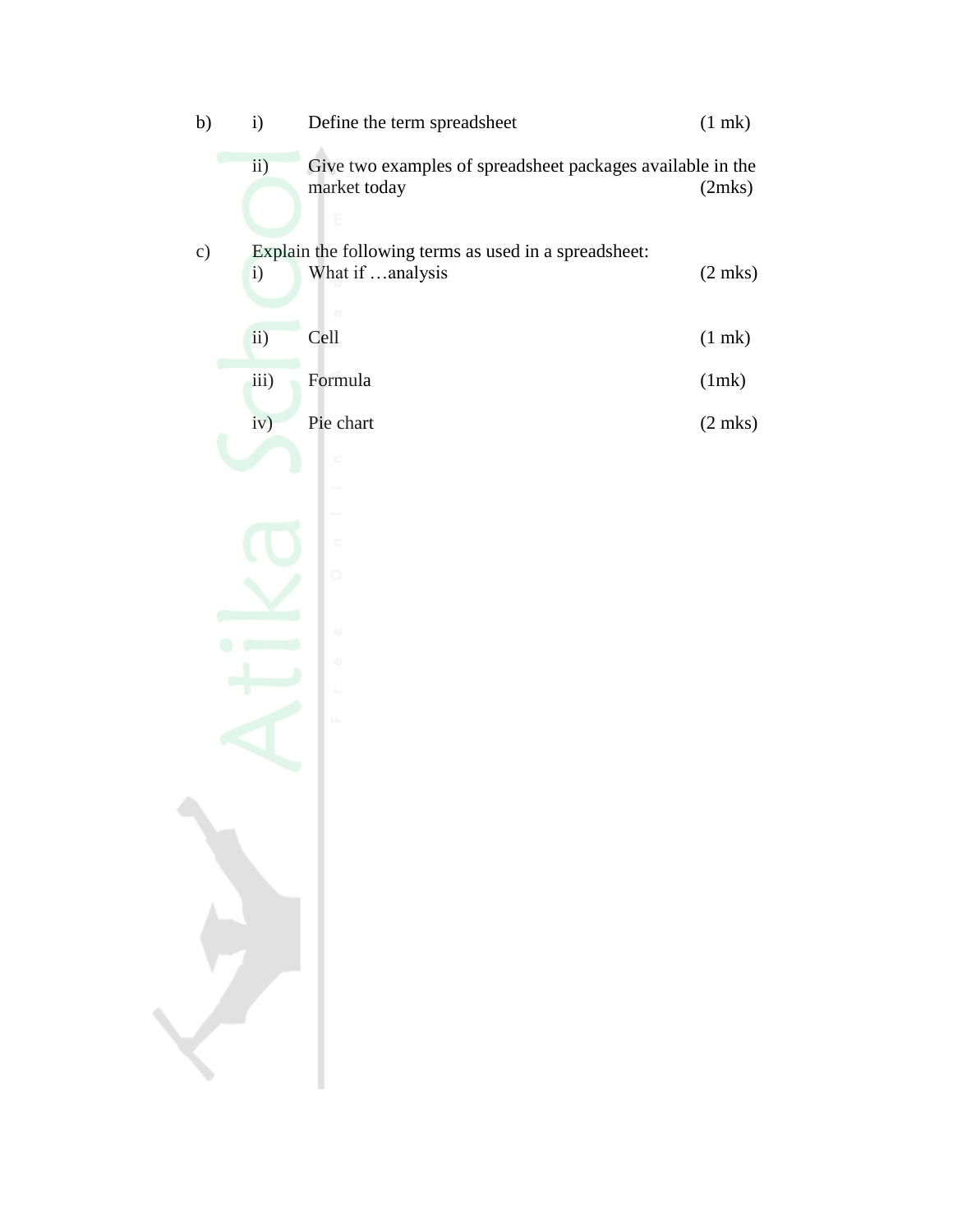| b) | i)           | Define the term spreadsheet                                                | $(1$ mk $)$  |
|----|--------------|----------------------------------------------------------------------------|--------------|
|    | ii)          | Give two examples of spreadsheet packages available in the<br>market today | (2mks)       |
| c) | $\mathbf{i}$ | Explain the following terms as used in a spreadsheet:<br>What if analysis  | $(2$ mks $)$ |
|    | ii)          | m<br>Cell                                                                  | $(1$ mk $)$  |
|    | iii)         | Formula                                                                    | (1mk)        |
|    | iv)          | Pie chart                                                                  | $(2$ mks $)$ |
|    |              | c                                                                          |              |
|    |              |                                                                            |              |
|    |              | $\Box$<br>$\circ$                                                          |              |
|    |              |                                                                            |              |
|    |              | o                                                                          |              |
|    |              | ω<br>$\mathbb{L}$                                                          |              |
|    |              | u.                                                                         |              |
|    |              |                                                                            |              |
|    |              |                                                                            |              |
|    |              |                                                                            |              |
|    |              |                                                                            |              |
|    |              |                                                                            |              |
|    |              |                                                                            |              |
|    |              |                                                                            |              |
|    |              |                                                                            |              |
|    |              |                                                                            |              |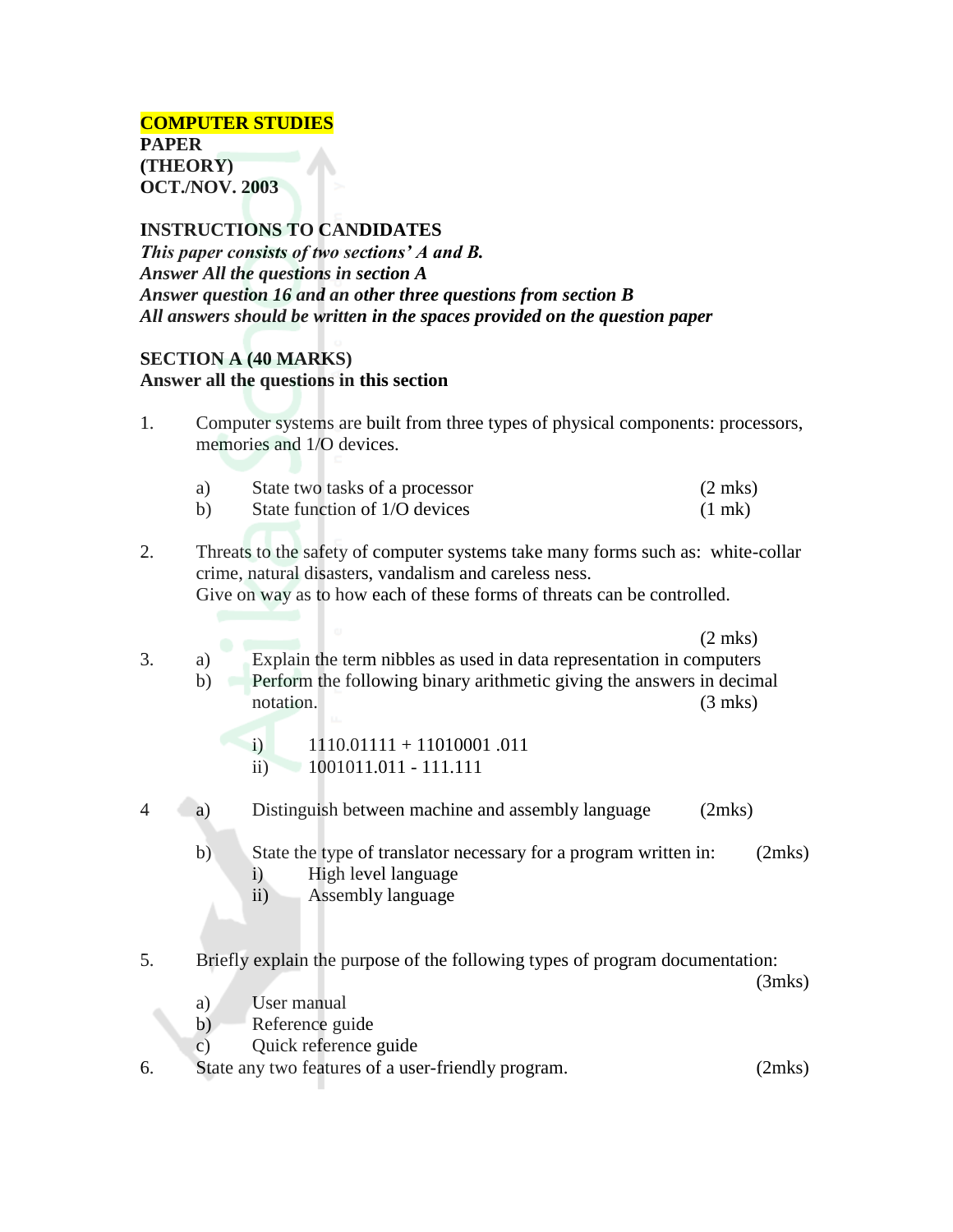**INSTRUCTIONS TO CANDIDATES** *This paper consists of two sections' A and B. Answer All the questions in section A Answer question 16 and an other three questions from section B All answers should be written in the spaces provided on the question paper*

#### **SECTION A (40 MARKS)**

#### **Answer all the questions in this section**

1. Computer systems are built from three types of physical components: processors, memories and 1/O devices.

| a) | State two tasks of a processor | $(2 \text{ mks})$ |
|----|--------------------------------|-------------------|
| b) | State function of 1/O devices  | $(1 \text{ m})$   |

- 2. Threats to the safety of computer systems take many forms such as: white-collar crime, natural disasters, vandalism and careless ness. Give on way as to how each of these forms of threats can be controlled.
	- (2 mks)
- 3. a) Explain the term nibbles as used in data representation in computers b) Perform the following binary arithmetic giving the answers in decimal notation. (3 mks)

i)  $1110.01111 + 11010001$ .011 ii) 1001011.011 - 111.111

4 a) Distinguish between machine and assembly language (2mks)

- b) State the type of translator necessary for a program written in: (2mks) i) High level language
	- ii) Assembly language
- 5. Briefly explain the purpose of the following types of program documentation:

(3mks)

- a) User manual
- b) Reference guide
- c) Quick reference guide

6. State any two features of a user-friendly program. (2mks)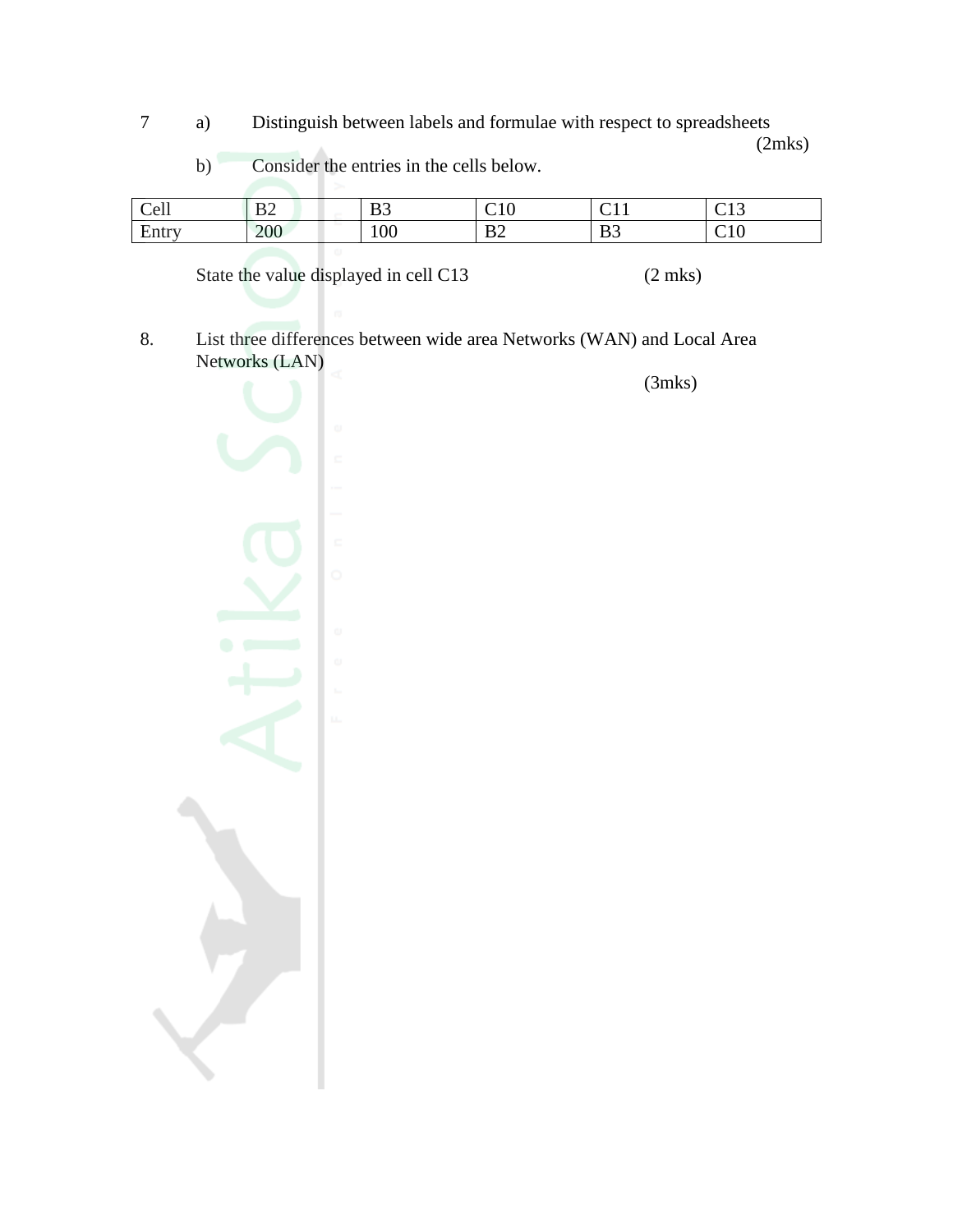7 a) Distinguish between labels and formulae with respect to spreadsheets

(2mks)

| 11<br>Cell                                        | D <sub>1</sub><br>◡ | D <sub>0</sub><br>ມມ | $\sim$ 1.0<br>◡▴◡    | $\sim$ $\sim$ $\sim$<br>◡▴▴ | $\sim$<br>$\sim$<br>◡▴◡     |
|---------------------------------------------------|---------------------|----------------------|----------------------|-----------------------------|-----------------------------|
| $\blacksquare$<br>$1 + 2 + 4 + 7$<br><b>E</b> ntr | 200<br>200          | 100                  | D <sup>o</sup><br>ມ∠ | B <sub>3</sub>              | ~<br>11 <sup>C</sup><br>◡ェ◡ |
|                                                   |                     |                      |                      |                             |                             |

State the value displayed in cell C13 (2 mks)

b) Consider the entries in the cells below.

8. List three differences between wide area Networks (WAN) and Local Area Networks (LAN)

(3mks)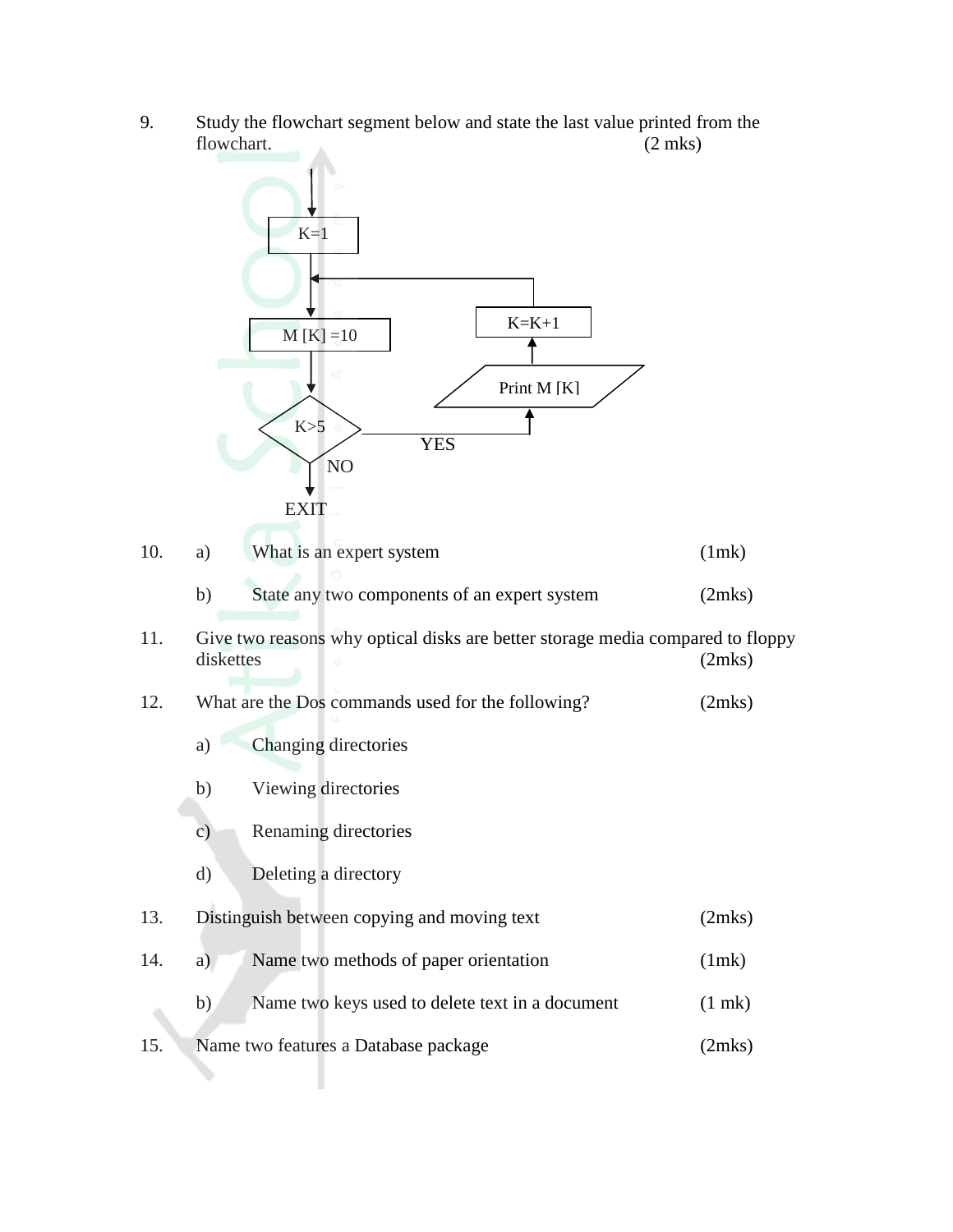9. Study the flowchart segment below and state the last value printed from the flowchart. (2 mks)



| 10. | What is an expert system | (1mk) |
|-----|--------------------------|-------|
|     |                          |       |

- b) State any two components of an expert system (2mks)
- 11. Give two reasons why optical disks are better storage media compared to floppy diskettes (2mks)
- 12. What are the Dos commands used for the following? (2mks)
	- a) Changing directories
	- b) Viewing directories
	- c) Renaming directories
	- d) Deleting a directory
- 13. Distinguish between copying and moving text (2mks)
- 14. a) Name two methods of paper orientation (1mk) b) Name two keys used to delete text in a document (1 mk)
- 15. Name two features a Database package (2mks)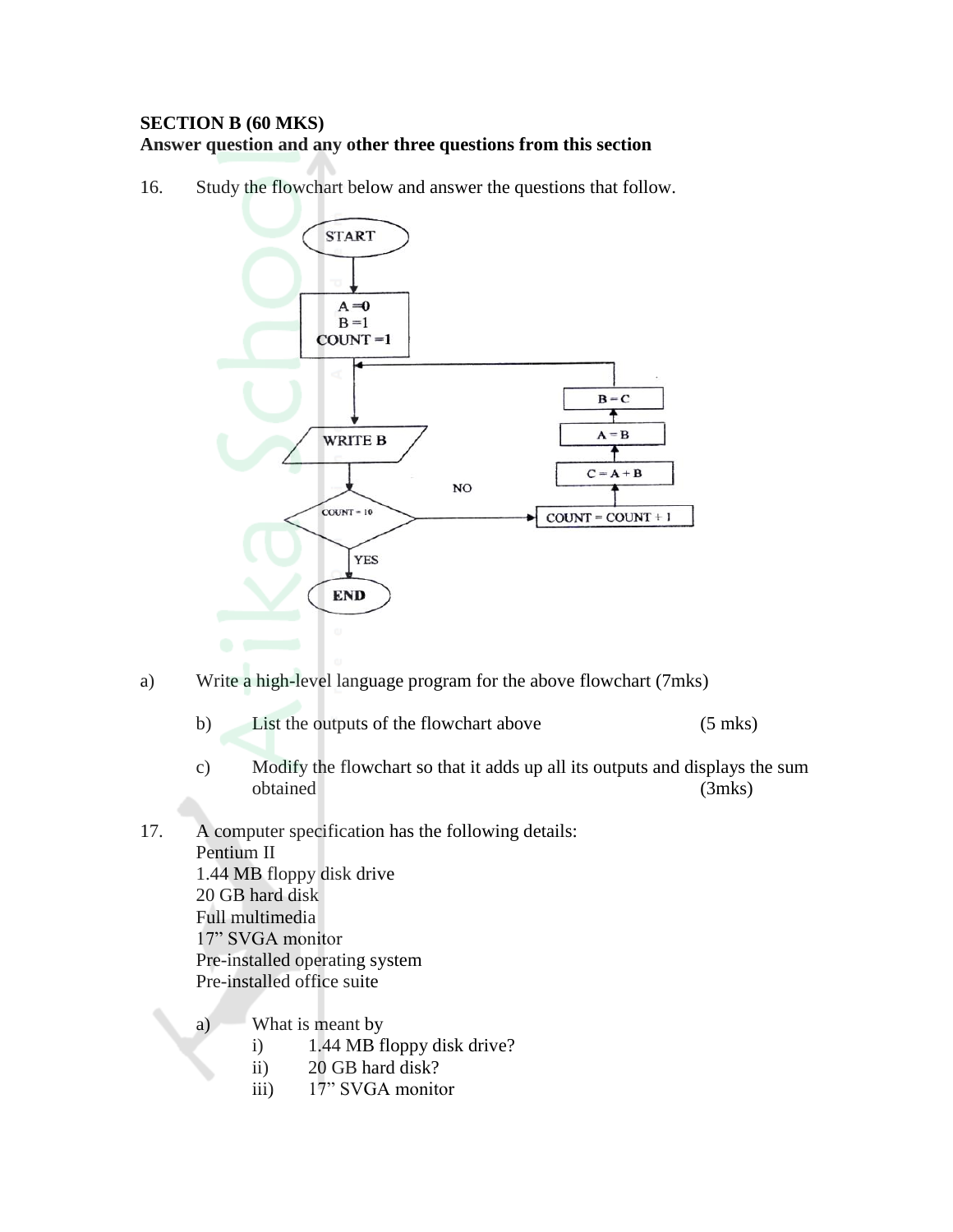#### **SECTION B (60 MKS) Answer question and any other three questions from this section**

16. Study the flowchart below and answer the questions that follow.



- a) Write a high-level language program for the above flowchart (7mks)
	- b) List the outputs of the flowchart above (5 mks)
	- c) Modify the flowchart so that it adds up all its outputs and displays the sum obtained (3mks)
- 17. A computer specification has the following details: Pentium II 1.44 MB floppy disk drive 20 GB hard disk Full multimedia 17" SVGA monitor Pre-installed operating system Pre-installed office suite
	- a) What is meant by
		- i) 1.44 MB floppy disk drive?
		- ii) 20 GB hard disk?
		- iii) 17" SVGA monitor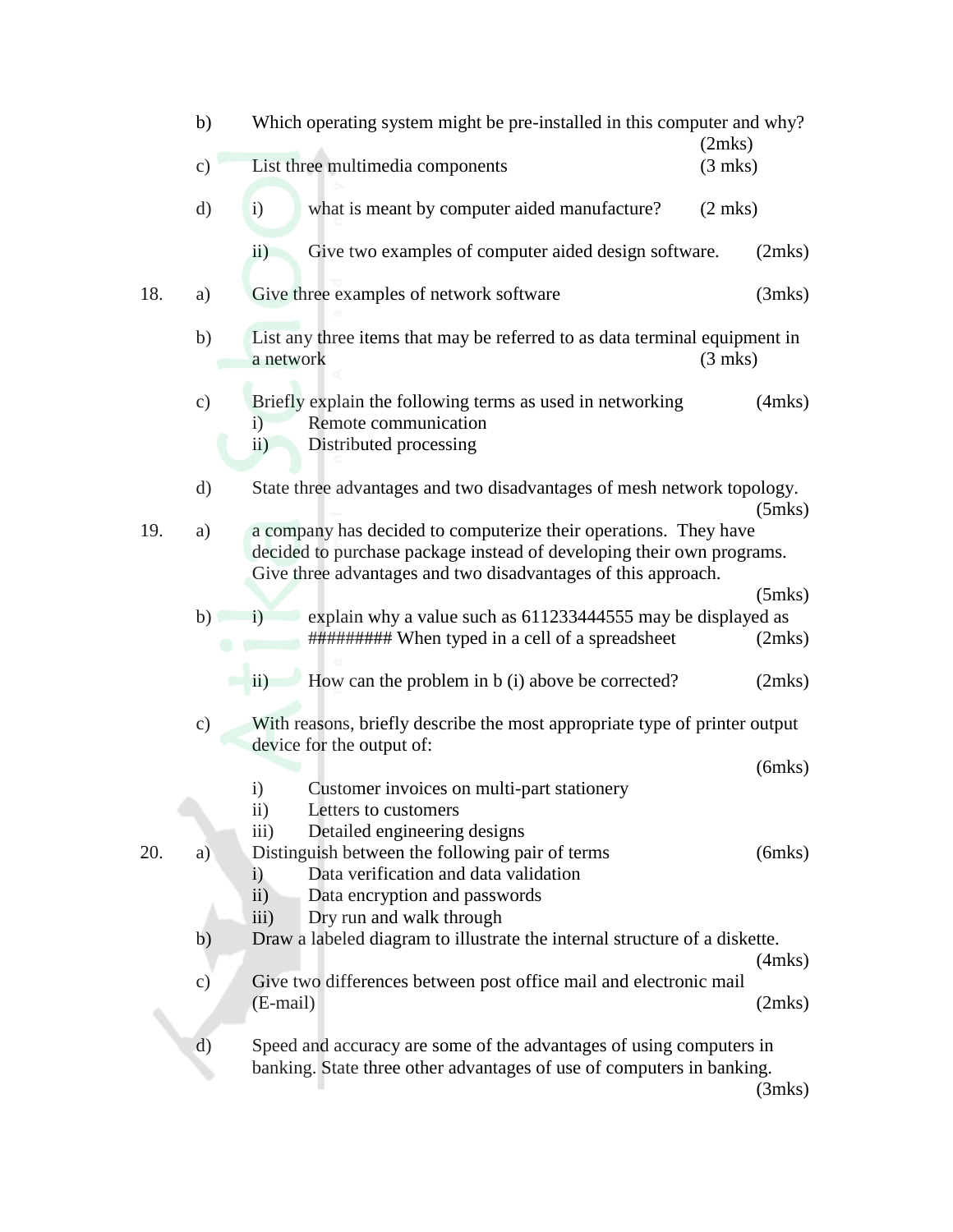|     | b)            | Which operating system might be pre-installed in this computer and why?<br>(2mks)                                                                                                                          |              |
|-----|---------------|------------------------------------------------------------------------------------------------------------------------------------------------------------------------------------------------------------|--------------|
|     | $\mathbf{c})$ | List three multimedia components<br>$(3$ mks)                                                                                                                                                              |              |
|     | $\rm d)$      | $\mathbf{i}$<br>what is meant by computer aided manufacture?<br>$(2$ mks)                                                                                                                                  |              |
|     |               | Give two examples of computer aided design software.<br>$\rm ii)$                                                                                                                                          | (2mks)       |
| 18. | a)            | Give three examples of network software                                                                                                                                                                    | (3mks)       |
|     | b)            | List any three items that may be referred to as data terminal equipment in<br>$(3$ mks)<br>a network                                                                                                       |              |
|     | $\mathbf{c})$ | Briefly explain the following terms as used in networking<br>Remote communication<br>i)<br>Distributed processing<br>$\ddot{\text{ii}})$                                                                   | $(4$ mks $)$ |
|     | $\rm d)$      | State three advantages and two disadvantages of mesh network topology.                                                                                                                                     | $(5$ mks $)$ |
| 19. | a)            | a company has decided to computerize their operations. They have<br>decided to purchase package instead of developing their own programs.<br>Give three advantages and two disadvantages of this approach. |              |
|     | b)            | explain why a value such as 611233444555 may be displayed as<br>$\mathbf{i}$                                                                                                                               | $(5$ mks $)$ |
|     |               | ########## When typed in a cell of a spreadsheet                                                                                                                                                           | (2mks)       |
|     |               | How can the problem in b (i) above be corrected?<br>$\overline{11}$                                                                                                                                        | (2mks)       |
|     | $\mathbf{c})$ | With reasons, briefly describe the most appropriate type of printer output<br>device for the output of:                                                                                                    |              |
|     |               |                                                                                                                                                                                                            | $(6$ mks $)$ |
|     |               | Customer invoices on multi-part stationery<br>$\mathbf{i}$<br>$\overline{11})$<br>Letters to customers                                                                                                     |              |
|     |               | iii)<br>Detailed engineering designs                                                                                                                                                                       |              |
| 20. | a)            | Distinguish between the following pair of terms<br>Data verification and data validation<br>i)                                                                                                             | $(6$ mks $)$ |
|     |               | $\ddot{i}$<br>Data encryption and passwords                                                                                                                                                                |              |
|     |               | iii)<br>Dry run and walk through                                                                                                                                                                           |              |
|     | b)            | Draw a labeled diagram to illustrate the internal structure of a diskette.                                                                                                                                 | $(4$ mks $)$ |
|     | $\circ$ )     | Give two differences between post office mail and electronic mail                                                                                                                                          |              |
|     |               | (E-mail)                                                                                                                                                                                                   | (2mks)       |
|     | $\rm d)$      | Speed and accuracy are some of the advantages of using computers in<br>banking. State three other advantages of use of computers in banking.                                                               | (3mks)       |
|     |               |                                                                                                                                                                                                            |              |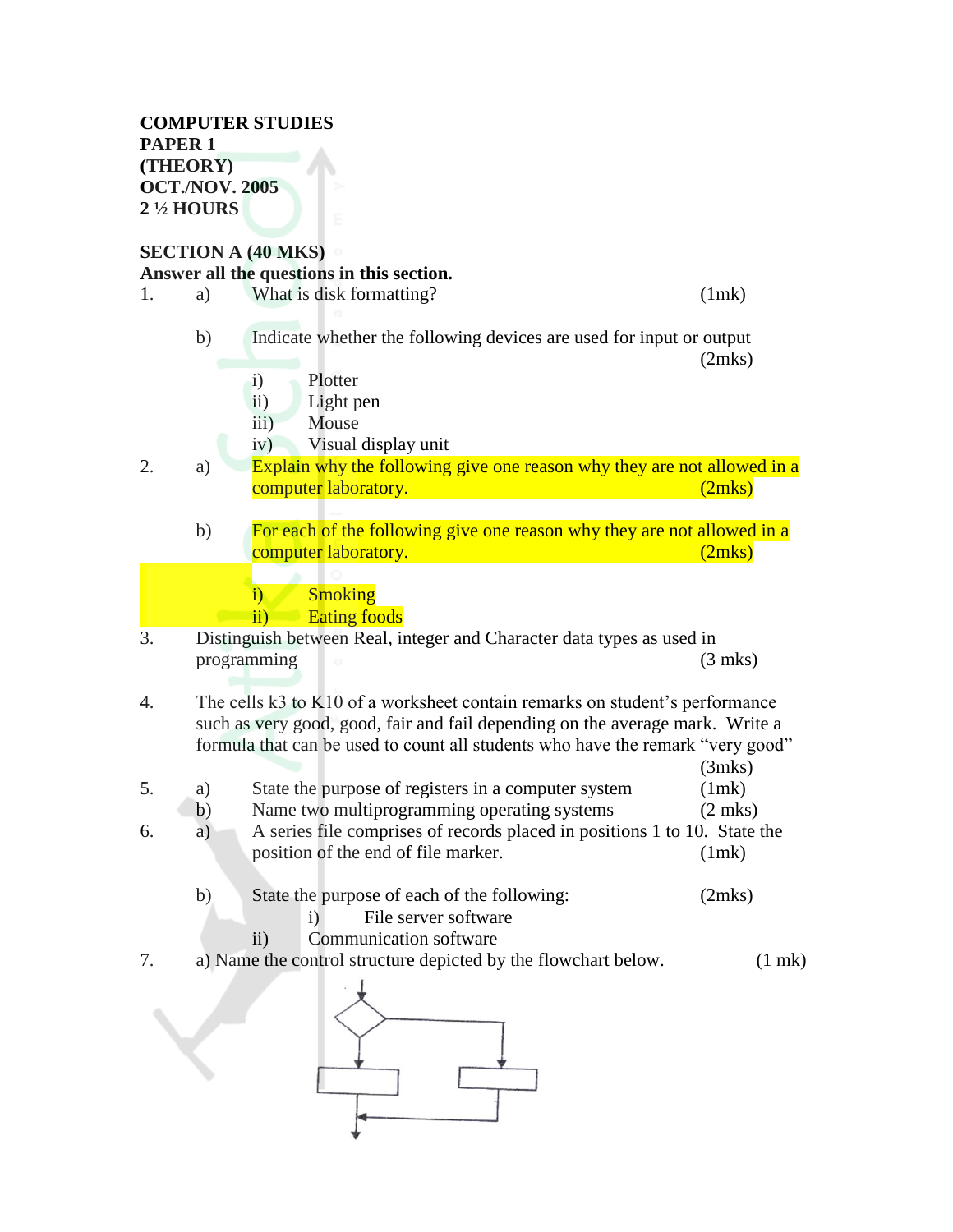#### **COMPUTER STUDIES PAPER 1 (THEORY) OCT./NOV. 2005 2 ½ HOURS**

# **SECTION A (40 MKS) Answer all the questions in this section.**

1. a) What is disk formatting? (1mk) b) Indicate whether the following devices are used for input or output (2mks) i) Plotter ii) Light pen iii) Mouse iv) Visual display unit 2. a) Explain why the following give one reason why they are not allowed in a computer laboratory. (2mks) b) For each of the following give one reason why they are not allowed in a **computer laboratory.** (2mks) i) Smoking ii) Eating foods 3. Distinguish between Real, integer and Character data types as used in programming (3 mks) 4. The cells k3 to K10 of a worksheet contain remarks on student's performance such as very good, good, fair and fail depending on the average mark. Write a formula that can be used to count all students who have the remark "very good" (3mks) 5. a) State the purpose of registers in a computer system (1mk) b) Name two multiprogramming operating systems (2 mks) 6. a) A series file comprises of records placed in positions 1 to 10. State the position of the end of file marker. (1mk) b) State the purpose of each of the following: (2mks) i) File server software ii) Communication software 7. a) Name the control structure depicted by the flowchart below. (1 mk)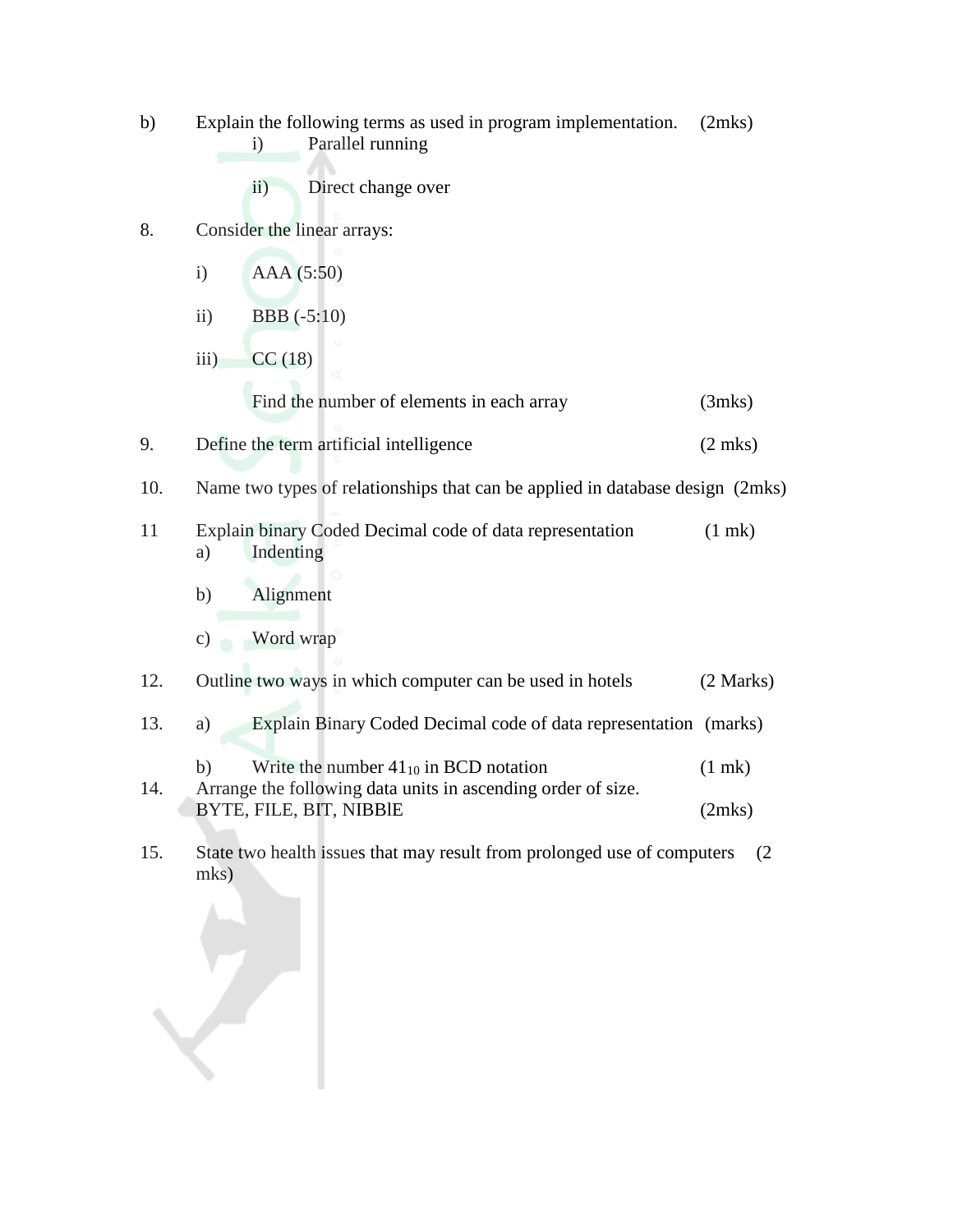| b)     |            | Explain the following terms as used in program implementation.<br>Parallel running<br>$\mathbf{i}$                                                                                                                                              | (2mks)      |
|--------|------------|-------------------------------------------------------------------------------------------------------------------------------------------------------------------------------------------------------------------------------------------------|-------------|
|        |            | Direct change over<br>$\overline{11}$                                                                                                                                                                                                           |             |
| 8.     |            | Consider the linear arrays:                                                                                                                                                                                                                     |             |
|        | i)         | AAA (5:50)                                                                                                                                                                                                                                      |             |
|        | $\ddot{i}$ | <b>BBB</b> (-5:10)                                                                                                                                                                                                                              |             |
|        | iii)       | CC(18)                                                                                                                                                                                                                                          |             |
|        |            | Find the number of elements in each array                                                                                                                                                                                                       | (3mks)      |
| 9.     |            | Define the term artificial intelligence                                                                                                                                                                                                         | $(2$ mks)   |
| 10.    |            | Name two types of relationships that can be applied in database design (2mks)                                                                                                                                                                   |             |
| 11     | a)         | Explain binary Coded Decimal code of data representation<br>Indenting                                                                                                                                                                           | $(1$ mk $)$ |
|        | b)         | Alignment                                                                                                                                                                                                                                       |             |
|        | c)         | Word wrap                                                                                                                                                                                                                                       |             |
| 12.    |            | Outline two ways in which computer can be used in hotels                                                                                                                                                                                        | (2 Marks)   |
| 13.    | a)         | Explain Binary Coded Decimal code of data representation (marks)                                                                                                                                                                                |             |
|        | b)         | Write the number $41_{10}$ in BCD notation                                                                                                                                                                                                      | $(1$ mk $)$ |
| 14.    |            | Arrange the following data units in ascending order of size.<br>BYTE, FILE, BIT, NIBBIE                                                                                                                                                         | (2mks)      |
| $\tau$ |            | $C_{1}$ and $C_{2}$ and $C_{3}$ and $C_{4}$ and $C_{5}$ and $C_{6}$ and $C_{7}$ and $C_{8}$ and $C_{9}$ and $C_{1}$ and $C_{1}$ and $C_{1}$ and $C_{1}$ and $C_{1}$ and $C_{1}$ and $C_{2}$ and $C_{3}$ and $C_{4}$ and $C_{5}$ and $C_{6}$ and |             |

15. State two health issues that may result from prolonged use of computers (2 mks)

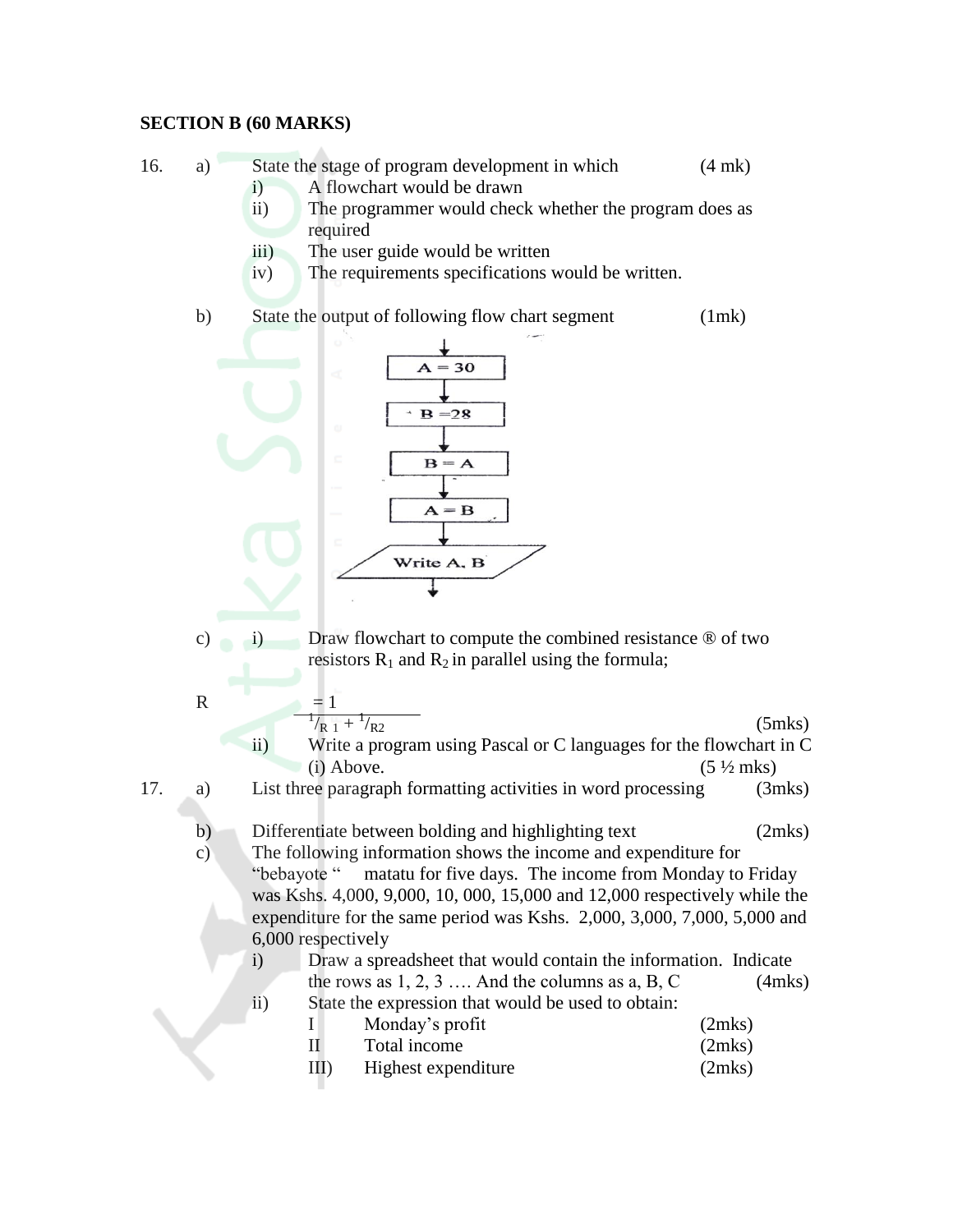#### **SECTION B (60 MARKS)**

- 16. a) State the stage of program development in which (4 mk)
	- i) A flowchart would be drawn
	- ii) The programmer would check whether the program does as required
	- iii) The user guide would be written
	- iv) The requirements specifications would be written.

b) State the output of following flow chart segment (1mk)



- c) i) Draw flowchart to compute the combined resistance ® of two resistors  $R_1$  and  $R_2$  in parallel using the formula;
- R  $= 1$  $^{1}/_{R}$  1 +  $^{1}$  $(5$ mks $)$ ii) Write a program using Pascal or C languages for the flowchart in C (i) Above.  $(5 \frac{1}{2} \text{ mks})$

17. a) List three paragraph formatting activities in word processing (3mks)

- b) Differentiate between bolding and highlighting text (2mks)
- c) The following information shows the income and expenditure for "bebayote " matatu for five days. The income from Monday to Friday was Kshs. 4,000, 9,000, 10, 000, 15,000 and 12,000 respectively while the expenditure for the same period was Kshs. 2,000, 3,000, 7,000, 5,000 and 6,000 respectively
	- i) Draw a spreadsheet that would contain the information. Indicate the rows as  $1, 2, 3, \ldots$  And the columns as  $a, B, C$  (4mks) ii) State the expression that would be used to obtain:

|         | Monday's profit     | (2mks) |
|---------|---------------------|--------|
|         | Total income        | (2mks) |
| $III$ ) | Highest expenditure | (2mks) |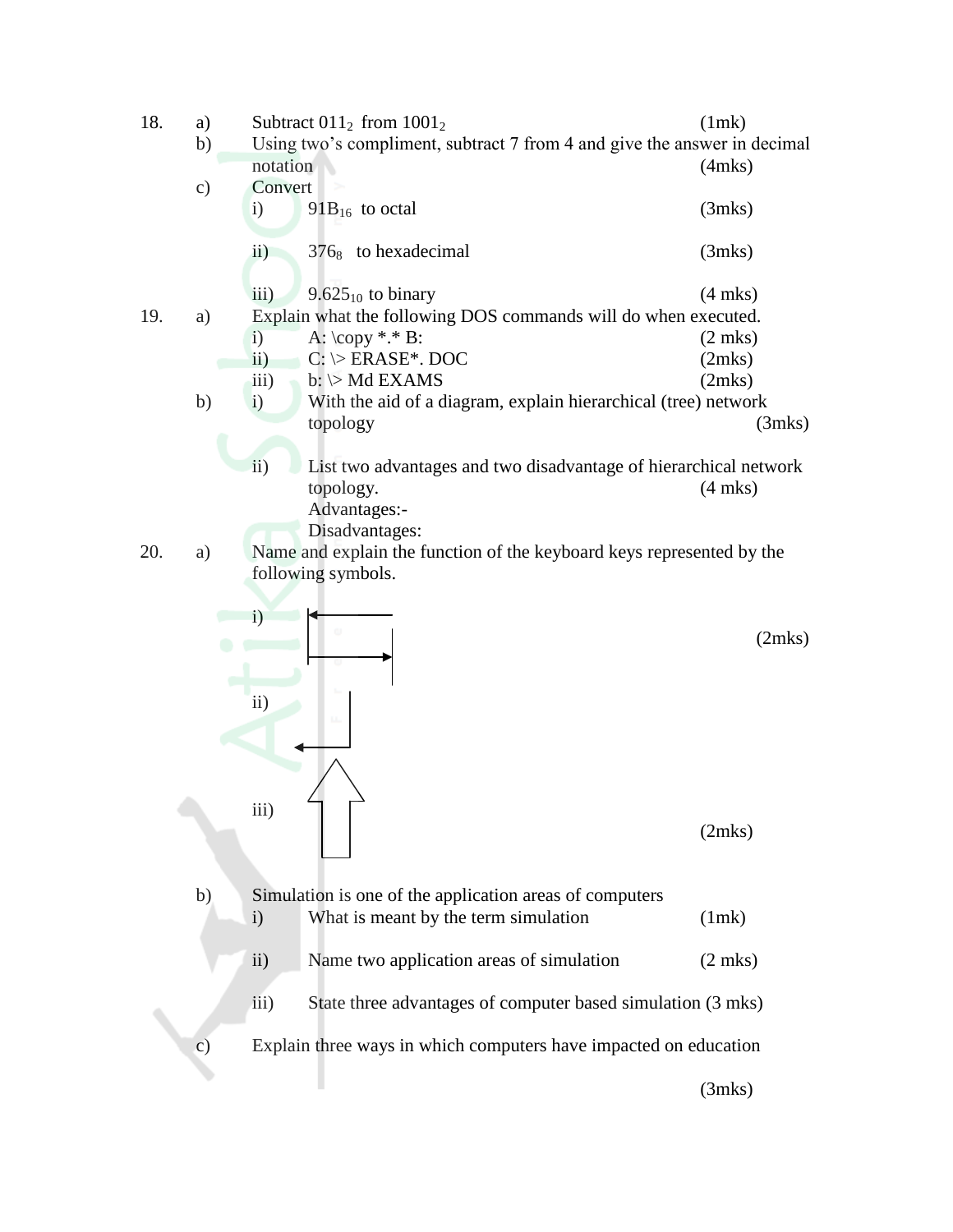| Using two's compliment, subtract 7 from 4 and give the answer in decimal<br>notation<br>$(4$ mks $)$<br>Convert<br>c)<br>$91B_{16}$ to octal<br>$\mathbf{i}$<br>(3mks)<br>$\overline{ii}$ )<br>$376_8$ to hexadecimal<br>(3mks)<br>iii)<br>$9.625_{10}$ to binary<br>$(4$ mks)<br>Explain what the following DOS commands will do when executed.<br>19.<br>a)<br>A: $\text{copy}$ *.* B:<br>$\mathbf{i}$<br>$(2$ mks)<br>$\overline{ii}$ )<br>$C: \ \triangleright$ ERASE*. DOC<br>(2mks)<br>$b: \triangleright \text{Md}$ EXAMS<br>$\overline{iii}$ )<br>(2mks)<br>With the aid of a diagram, explain hierarchical (tree) network<br>b)<br>$\mathbf{i}$<br>topology<br>(3mks)<br>ii)<br>List two advantages and two disadvantage of hierarchical network<br>$(4$ mks)<br>topology.<br>Advantages:-<br>Disadvantages:<br>20.<br>Name and explain the function of the keyboard keys represented by the<br>a)<br>following symbols.<br>$\mathbf{i}$<br>(2mks)<br>$\rm ii)$<br>ш.<br>$\overline{iii}$ )<br>(2mks)<br>b)<br>Simulation is one of the application areas of computers<br>What is meant by the term simulation<br>(1mk)<br>$\mathbf{i}$<br>$\rm ii)$<br>Name two application areas of simulation<br>$(2$ mks)<br>iii)<br>State three advantages of computer based simulation (3 mks)<br>Explain three ways in which computers have impacted on education<br>$\mathbf{c})$ | 18. | a) | Subtract $011_2$ from $1001_2$ | (1mk)  |
|------------------------------------------------------------------------------------------------------------------------------------------------------------------------------------------------------------------------------------------------------------------------------------------------------------------------------------------------------------------------------------------------------------------------------------------------------------------------------------------------------------------------------------------------------------------------------------------------------------------------------------------------------------------------------------------------------------------------------------------------------------------------------------------------------------------------------------------------------------------------------------------------------------------------------------------------------------------------------------------------------------------------------------------------------------------------------------------------------------------------------------------------------------------------------------------------------------------------------------------------------------------------------------------------------------------------------------------------------------------------------------|-----|----|--------------------------------|--------|
|                                                                                                                                                                                                                                                                                                                                                                                                                                                                                                                                                                                                                                                                                                                                                                                                                                                                                                                                                                                                                                                                                                                                                                                                                                                                                                                                                                                    |     | b) |                                |        |
|                                                                                                                                                                                                                                                                                                                                                                                                                                                                                                                                                                                                                                                                                                                                                                                                                                                                                                                                                                                                                                                                                                                                                                                                                                                                                                                                                                                    |     |    |                                |        |
|                                                                                                                                                                                                                                                                                                                                                                                                                                                                                                                                                                                                                                                                                                                                                                                                                                                                                                                                                                                                                                                                                                                                                                                                                                                                                                                                                                                    |     |    |                                |        |
|                                                                                                                                                                                                                                                                                                                                                                                                                                                                                                                                                                                                                                                                                                                                                                                                                                                                                                                                                                                                                                                                                                                                                                                                                                                                                                                                                                                    |     |    |                                |        |
|                                                                                                                                                                                                                                                                                                                                                                                                                                                                                                                                                                                                                                                                                                                                                                                                                                                                                                                                                                                                                                                                                                                                                                                                                                                                                                                                                                                    |     |    |                                |        |
|                                                                                                                                                                                                                                                                                                                                                                                                                                                                                                                                                                                                                                                                                                                                                                                                                                                                                                                                                                                                                                                                                                                                                                                                                                                                                                                                                                                    |     |    |                                |        |
|                                                                                                                                                                                                                                                                                                                                                                                                                                                                                                                                                                                                                                                                                                                                                                                                                                                                                                                                                                                                                                                                                                                                                                                                                                                                                                                                                                                    |     |    |                                |        |
|                                                                                                                                                                                                                                                                                                                                                                                                                                                                                                                                                                                                                                                                                                                                                                                                                                                                                                                                                                                                                                                                                                                                                                                                                                                                                                                                                                                    |     |    |                                |        |
|                                                                                                                                                                                                                                                                                                                                                                                                                                                                                                                                                                                                                                                                                                                                                                                                                                                                                                                                                                                                                                                                                                                                                                                                                                                                                                                                                                                    |     |    |                                |        |
|                                                                                                                                                                                                                                                                                                                                                                                                                                                                                                                                                                                                                                                                                                                                                                                                                                                                                                                                                                                                                                                                                                                                                                                                                                                                                                                                                                                    |     |    |                                |        |
|                                                                                                                                                                                                                                                                                                                                                                                                                                                                                                                                                                                                                                                                                                                                                                                                                                                                                                                                                                                                                                                                                                                                                                                                                                                                                                                                                                                    |     |    |                                |        |
|                                                                                                                                                                                                                                                                                                                                                                                                                                                                                                                                                                                                                                                                                                                                                                                                                                                                                                                                                                                                                                                                                                                                                                                                                                                                                                                                                                                    |     |    |                                |        |
|                                                                                                                                                                                                                                                                                                                                                                                                                                                                                                                                                                                                                                                                                                                                                                                                                                                                                                                                                                                                                                                                                                                                                                                                                                                                                                                                                                                    |     |    |                                |        |
|                                                                                                                                                                                                                                                                                                                                                                                                                                                                                                                                                                                                                                                                                                                                                                                                                                                                                                                                                                                                                                                                                                                                                                                                                                                                                                                                                                                    |     |    |                                |        |
|                                                                                                                                                                                                                                                                                                                                                                                                                                                                                                                                                                                                                                                                                                                                                                                                                                                                                                                                                                                                                                                                                                                                                                                                                                                                                                                                                                                    |     |    |                                |        |
|                                                                                                                                                                                                                                                                                                                                                                                                                                                                                                                                                                                                                                                                                                                                                                                                                                                                                                                                                                                                                                                                                                                                                                                                                                                                                                                                                                                    |     |    |                                |        |
|                                                                                                                                                                                                                                                                                                                                                                                                                                                                                                                                                                                                                                                                                                                                                                                                                                                                                                                                                                                                                                                                                                                                                                                                                                                                                                                                                                                    |     |    |                                |        |
|                                                                                                                                                                                                                                                                                                                                                                                                                                                                                                                                                                                                                                                                                                                                                                                                                                                                                                                                                                                                                                                                                                                                                                                                                                                                                                                                                                                    |     |    |                                |        |
|                                                                                                                                                                                                                                                                                                                                                                                                                                                                                                                                                                                                                                                                                                                                                                                                                                                                                                                                                                                                                                                                                                                                                                                                                                                                                                                                                                                    |     |    |                                |        |
|                                                                                                                                                                                                                                                                                                                                                                                                                                                                                                                                                                                                                                                                                                                                                                                                                                                                                                                                                                                                                                                                                                                                                                                                                                                                                                                                                                                    |     |    |                                |        |
|                                                                                                                                                                                                                                                                                                                                                                                                                                                                                                                                                                                                                                                                                                                                                                                                                                                                                                                                                                                                                                                                                                                                                                                                                                                                                                                                                                                    |     |    |                                |        |
|                                                                                                                                                                                                                                                                                                                                                                                                                                                                                                                                                                                                                                                                                                                                                                                                                                                                                                                                                                                                                                                                                                                                                                                                                                                                                                                                                                                    |     |    |                                |        |
|                                                                                                                                                                                                                                                                                                                                                                                                                                                                                                                                                                                                                                                                                                                                                                                                                                                                                                                                                                                                                                                                                                                                                                                                                                                                                                                                                                                    |     |    |                                |        |
|                                                                                                                                                                                                                                                                                                                                                                                                                                                                                                                                                                                                                                                                                                                                                                                                                                                                                                                                                                                                                                                                                                                                                                                                                                                                                                                                                                                    |     |    |                                |        |
|                                                                                                                                                                                                                                                                                                                                                                                                                                                                                                                                                                                                                                                                                                                                                                                                                                                                                                                                                                                                                                                                                                                                                                                                                                                                                                                                                                                    |     |    |                                |        |
|                                                                                                                                                                                                                                                                                                                                                                                                                                                                                                                                                                                                                                                                                                                                                                                                                                                                                                                                                                                                                                                                                                                                                                                                                                                                                                                                                                                    |     |    |                                |        |
|                                                                                                                                                                                                                                                                                                                                                                                                                                                                                                                                                                                                                                                                                                                                                                                                                                                                                                                                                                                                                                                                                                                                                                                                                                                                                                                                                                                    |     |    |                                |        |
|                                                                                                                                                                                                                                                                                                                                                                                                                                                                                                                                                                                                                                                                                                                                                                                                                                                                                                                                                                                                                                                                                                                                                                                                                                                                                                                                                                                    |     |    |                                |        |
|                                                                                                                                                                                                                                                                                                                                                                                                                                                                                                                                                                                                                                                                                                                                                                                                                                                                                                                                                                                                                                                                                                                                                                                                                                                                                                                                                                                    |     |    |                                |        |
|                                                                                                                                                                                                                                                                                                                                                                                                                                                                                                                                                                                                                                                                                                                                                                                                                                                                                                                                                                                                                                                                                                                                                                                                                                                                                                                                                                                    |     |    |                                |        |
|                                                                                                                                                                                                                                                                                                                                                                                                                                                                                                                                                                                                                                                                                                                                                                                                                                                                                                                                                                                                                                                                                                                                                                                                                                                                                                                                                                                    |     |    |                                |        |
|                                                                                                                                                                                                                                                                                                                                                                                                                                                                                                                                                                                                                                                                                                                                                                                                                                                                                                                                                                                                                                                                                                                                                                                                                                                                                                                                                                                    |     |    |                                |        |
|                                                                                                                                                                                                                                                                                                                                                                                                                                                                                                                                                                                                                                                                                                                                                                                                                                                                                                                                                                                                                                                                                                                                                                                                                                                                                                                                                                                    |     |    |                                |        |
|                                                                                                                                                                                                                                                                                                                                                                                                                                                                                                                                                                                                                                                                                                                                                                                                                                                                                                                                                                                                                                                                                                                                                                                                                                                                                                                                                                                    |     |    |                                |        |
|                                                                                                                                                                                                                                                                                                                                                                                                                                                                                                                                                                                                                                                                                                                                                                                                                                                                                                                                                                                                                                                                                                                                                                                                                                                                                                                                                                                    |     |    |                                |        |
|                                                                                                                                                                                                                                                                                                                                                                                                                                                                                                                                                                                                                                                                                                                                                                                                                                                                                                                                                                                                                                                                                                                                                                                                                                                                                                                                                                                    |     |    |                                |        |
|                                                                                                                                                                                                                                                                                                                                                                                                                                                                                                                                                                                                                                                                                                                                                                                                                                                                                                                                                                                                                                                                                                                                                                                                                                                                                                                                                                                    |     |    |                                |        |
|                                                                                                                                                                                                                                                                                                                                                                                                                                                                                                                                                                                                                                                                                                                                                                                                                                                                                                                                                                                                                                                                                                                                                                                                                                                                                                                                                                                    |     |    |                                | (3mks) |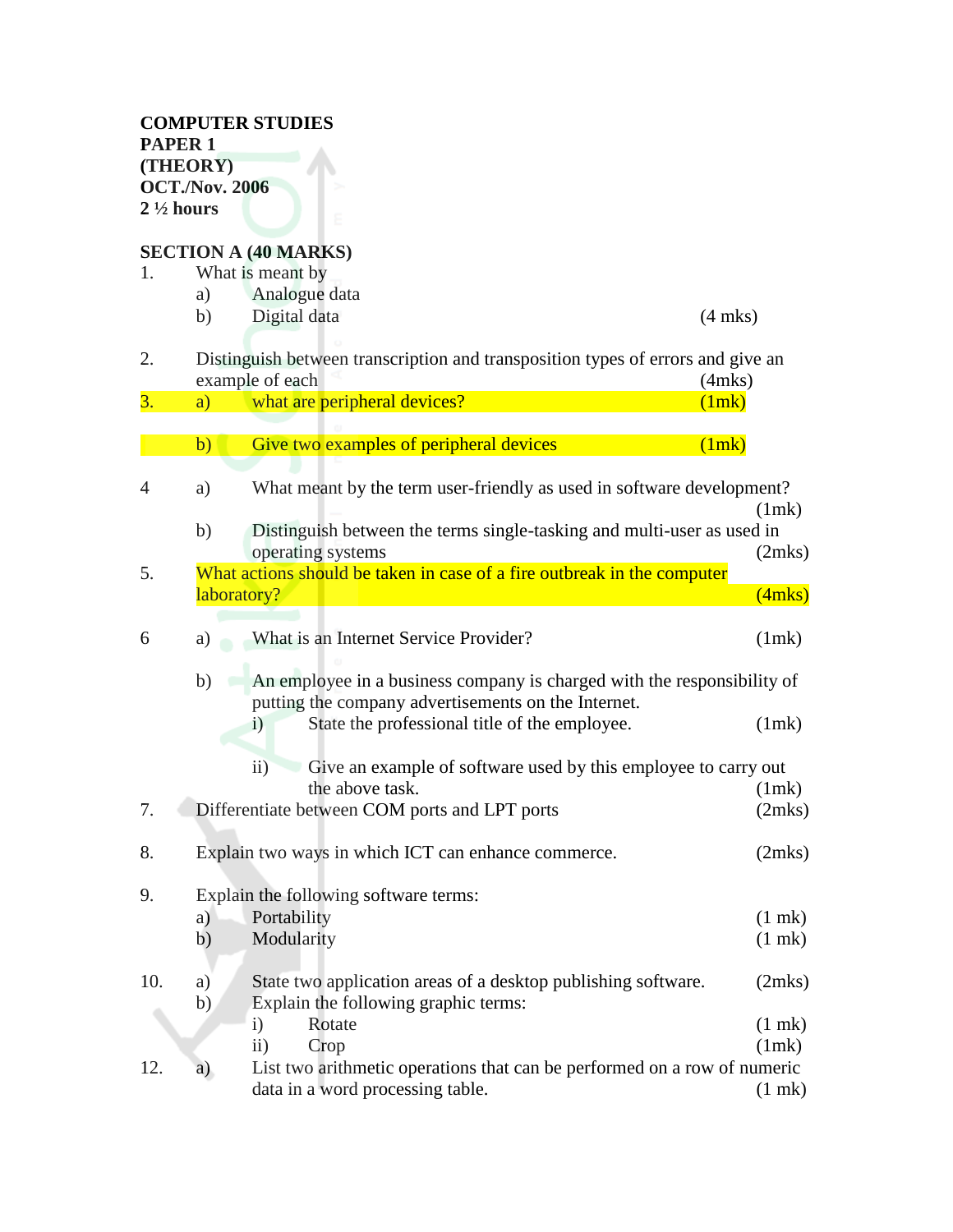## **SECTION A (40 MARKS)**

|     |              | SEUTIUN A (40 MARRS)                                                                               |                  |
|-----|--------------|----------------------------------------------------------------------------------------------------|------------------|
| 1.  |              | What is meant by                                                                                   |                  |
|     | a)           | Analogue data                                                                                      |                  |
|     | b)           | Digital data                                                                                       | $(4$ mks)        |
| 2.  |              | Distinguish between transcription and transposition types of errors and give an<br>example of each | $(4$ mks $)$     |
| 3.  | a)           | what are peripheral devices?                                                                       | (1mk)            |
|     |              |                                                                                                    |                  |
|     | b)           | Give two examples of peripheral devices                                                            | (1mk)            |
|     |              |                                                                                                    |                  |
| 4   | a)           | What meant by the term user-friendly as used in software development?                              |                  |
|     |              |                                                                                                    | (1mk)            |
|     | b)           | Distinguish between the terms single-tasking and multi-user as used in                             |                  |
|     |              | operating systems                                                                                  | (2mks)           |
| 5.  |              | What actions should be taken in case of a fire outbreak in the computer                            |                  |
|     |              | laboratory?                                                                                        | (4mks)           |
| 6   | a)           | What is an Internet Service Provider?                                                              | (1mk)            |
|     |              |                                                                                                    |                  |
|     | b)           | An employee in a business company is charged with the responsibility of                            |                  |
|     |              | putting the company advertisements on the Internet.                                                |                  |
|     |              | State the professional title of the employee.<br>$\mathbf{i}$                                      | (1mk)            |
|     |              | $\overline{11}$ )<br>Give an example of software used by this employee to carry out                |                  |
|     |              | the above task.                                                                                    | (1mk)            |
| 7.  |              | Differentiate between COM ports and LPT ports                                                      | (2mks)           |
|     |              |                                                                                                    |                  |
| 8.  |              | Explain two ways in which ICT can enhance commerce.                                                | (2mks)           |
|     |              |                                                                                                    |                  |
| 9.  |              | Explain the following software terms:                                                              |                  |
|     | a)           | Portability                                                                                        | $(1 \text{ m})$  |
|     | b)           | Modularity                                                                                         | $(1$ mk $)$      |
|     |              |                                                                                                    |                  |
| 10. | a)           | State two application areas of a desktop publishing software.                                      | (2mks)           |
|     | $\mathbf{b}$ | Explain the following graphic terms:                                                               |                  |
|     |              | Rotate<br>$\mathbf{i}$                                                                             | $(1$ mk $)$      |
|     |              | $\mathbf{ii}$<br>Crop                                                                              | (1mk)            |
| 12. | a)           | List two arithmetic operations that can be performed on a row of numeric                           |                  |
|     |              | data in a word processing table.                                                                   | $(1 \text{ mk})$ |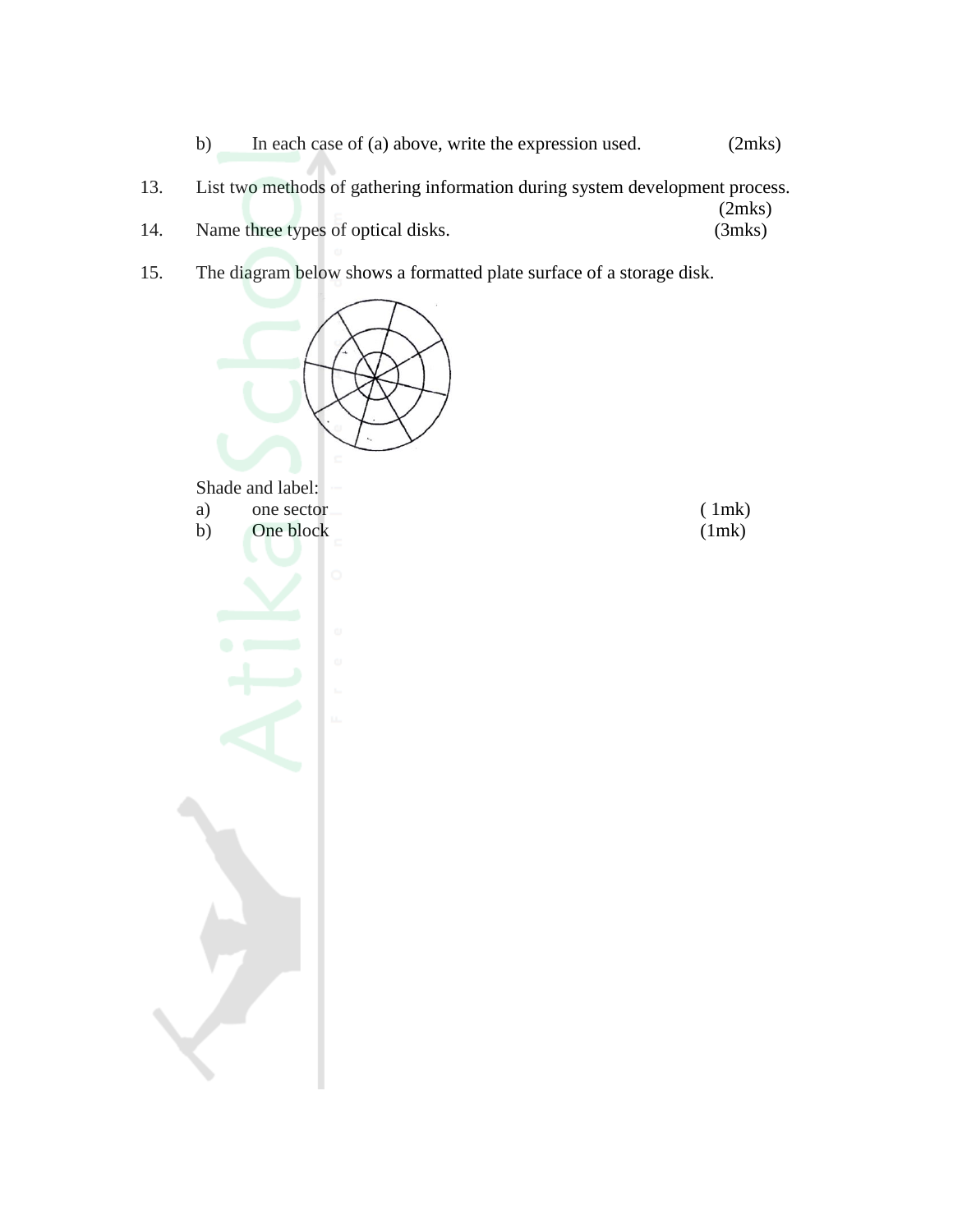- b) In each case of (a) above, write the expression used. (2mks) 13. List two methods of gathering information during system development process.  $(2mks)$ <br> $(3mks)$ 14. Name three types of optical disks.
- 15. The diagram below shows a formatted plate surface of a storage disk.

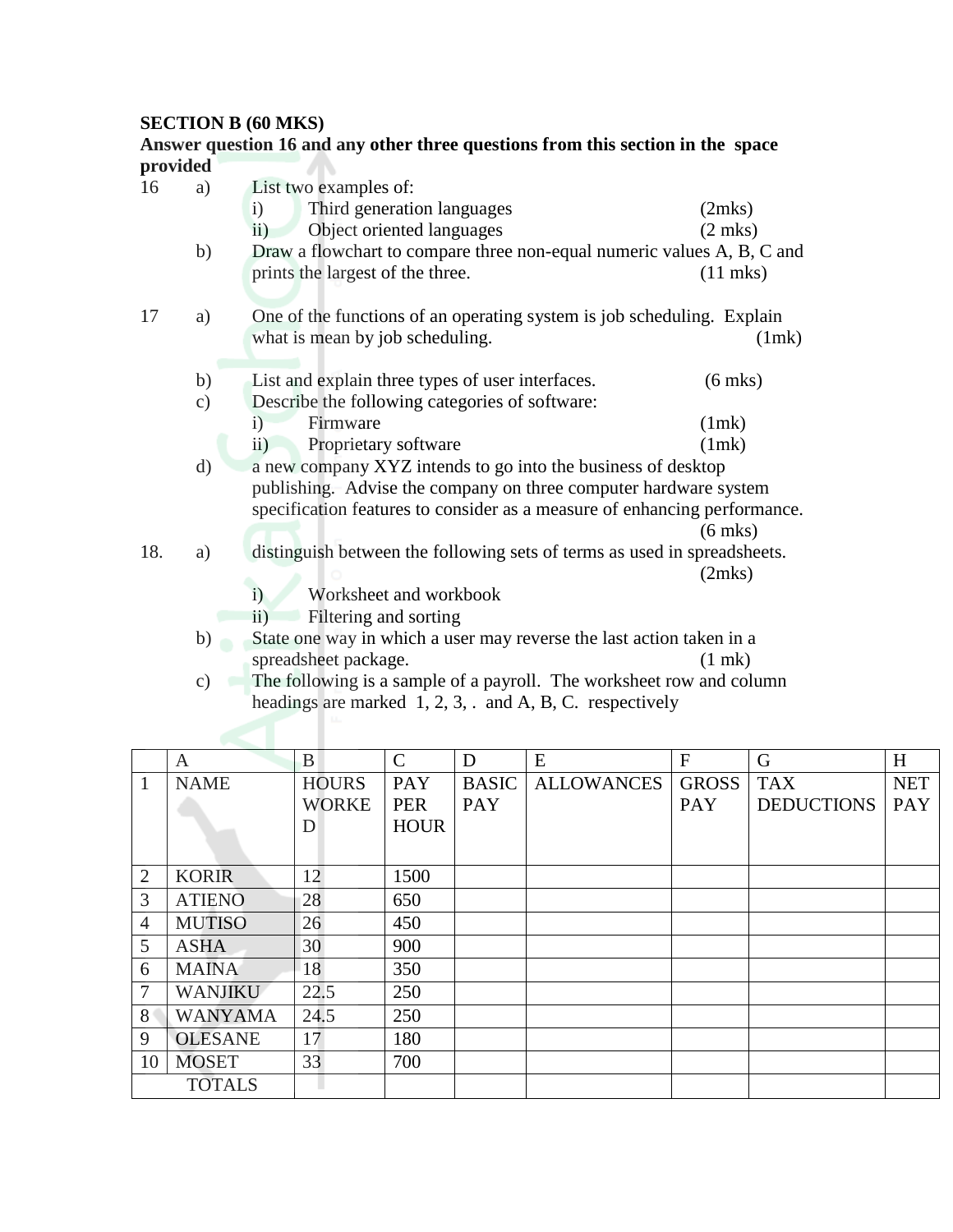## **SECTION B (60 MKS)**

|          |               | Answer question 16 and any other three questions from this section in the space |                    |
|----------|---------------|---------------------------------------------------------------------------------|--------------------|
| provided |               |                                                                                 |                    |
| 16       | a)            | List two examples of:                                                           |                    |
|          |               | Third generation languages<br>$\mathbf{i}$                                      | (2mks)             |
|          |               | $\overline{ii}$ )<br>Object oriented languages                                  | $(2 \text{ mks})$  |
|          | b)            | Draw a flowchart to compare three non-equal numeric values A, B, C and          |                    |
|          |               | prints the largest of the three.                                                | $(11 \text{ mks})$ |
| 17       | a)            | One of the functions of an operating system is job scheduling. Explain          |                    |
|          |               | what is mean by job scheduling.                                                 | (1mk)              |
|          | b)            | List and explain three types of user interfaces.                                | $(6$ mks)          |
|          | c)            | Describe the following categories of software:                                  |                    |
|          |               | Firmware<br>$\left( \frac{1}{2} \right)$                                        | (1mk)              |
|          |               | $\overline{ii}$ )<br>Proprietary software                                       | (1mk)              |
|          | $\mathbf{d}$  | a new company XYZ intends to go into the business of desktop                    |                    |
|          |               | publishing. Advise the company on three computer hardware system                |                    |
|          |               | specification features to consider as a measure of enhancing performance.       |                    |
|          |               |                                                                                 | $(6$ mks)          |
| 18.      | a)            | distinguish between the following sets of terms as used in spreadsheets.        |                    |
|          |               |                                                                                 | (2mks)             |
|          |               | Worksheet and workbook<br>$\mathbf{i}$                                          |                    |
|          |               | Filtering and sorting<br>$\overline{11}$                                        |                    |
|          | b)            | State one way in which a user may reverse the last action taken in a            |                    |
|          |               | spreadsheet package.                                                            | $(1$ mk $)$        |
|          | $\mathbf{c})$ | The following is a sample of a payroll. The worksheet row and column            |                    |

|  |  |  |  | headings are marked $1, 2, 3, \ldots$ and A, B, C. respectively |  |
|--|--|--|--|-----------------------------------------------------------------|--|

|                | $\boldsymbol{A}$ | B            | $\mathcal{C}$ | D            | ${\bf E}$         | $\overline{F}$ | G                 | H          |
|----------------|------------------|--------------|---------------|--------------|-------------------|----------------|-------------------|------------|
| 1              | <b>NAME</b>      | <b>HOURS</b> | <b>PAY</b>    | <b>BASIC</b> | <b>ALLOWANCES</b> | <b>GROSS</b>   | <b>TAX</b>        | <b>NET</b> |
|                |                  | <b>WORKE</b> | <b>PER</b>    | PAY          |                   | <b>PAY</b>     | <b>DEDUCTIONS</b> | <b>PAY</b> |
|                |                  | D            | <b>HOUR</b>   |              |                   |                |                   |            |
|                |                  |              |               |              |                   |                |                   |            |
| $\overline{2}$ | <b>KORIR</b>     | 12           | 1500          |              |                   |                |                   |            |
| 3              | <b>ATIENO</b>    | 28           | 650           |              |                   |                |                   |            |
| $\overline{4}$ | <b>MUTISO</b>    | 26           | 450           |              |                   |                |                   |            |
| 5              | <b>ASHA</b>      | 30           | 900           |              |                   |                |                   |            |
| 6              | <b>MAINA</b>     | 18           | 350           |              |                   |                |                   |            |
| $\overline{7}$ | <b>WANJIKU</b>   | 22.5         | 250           |              |                   |                |                   |            |
| 8 <sup>1</sup> | <b>WANYAMA</b>   | 24.5         | 250           |              |                   |                |                   |            |
| 9              | <b>OLESANE</b>   | 17           | 180           |              |                   |                |                   |            |
| 10             | <b>MOSET</b>     | 33           | 700           |              |                   |                |                   |            |
|                | <b>TOTALS</b>    |              |               |              |                   |                |                   |            |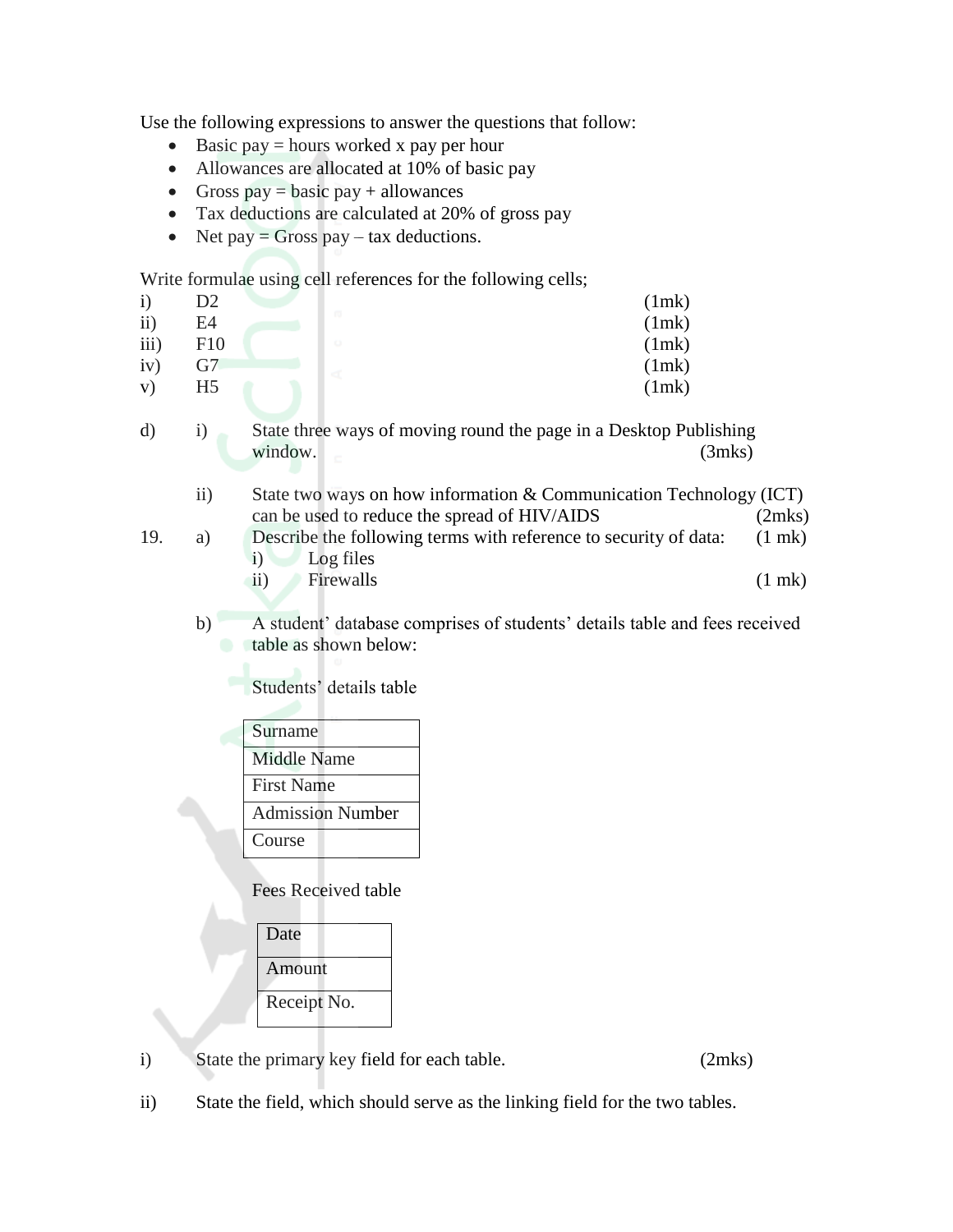Use the following expressions to answer the questions that follow:

- $\bullet$  Basic pay = hours worked x pay per hour
- Allowances are allocated at 10% of basic pay
- Gross pay = basic pay + allowances
- Tax deductions are calculated at 20% of gross pay
- Net pay = Gross pay tax deductions.

Write formulae using cell references for the following cells;

| $\mathbf{i}$ | D <sub>2</sub> |   | (1mk) |
|--------------|----------------|---|-------|
| $\rm ii)$    | E4             | m | (1mk) |
| iii)         | F10            |   | (1mk) |
| iv)          | G7             |   | (1mk) |
| V)           | H5             |   | (1mk) |
|              |                |   |       |

d) i) State three ways of moving round the page in a Desktop Publishing window. (3mks)

- ii) State two ways on how information & Communication Technology (ICT) can be used to reduce the spread of HIV/AIDS (2mks)
- 19. a) Describe the following terms with reference to security of data: (1 mk) i) Log files
	- ii) Firewalls (1 mk)
	- b) A student' database comprises of students' details table and fees received table as shown below:

Students' details table

Surname Middle Name First Name Admission Number Course

Fees Received table

| Date        |
|-------------|
| Amount      |
|             |
| Receipt No. |
|             |

i) State the primary key field for each table. (2mks)

ii) State the field, which should serve as the linking field for the two tables.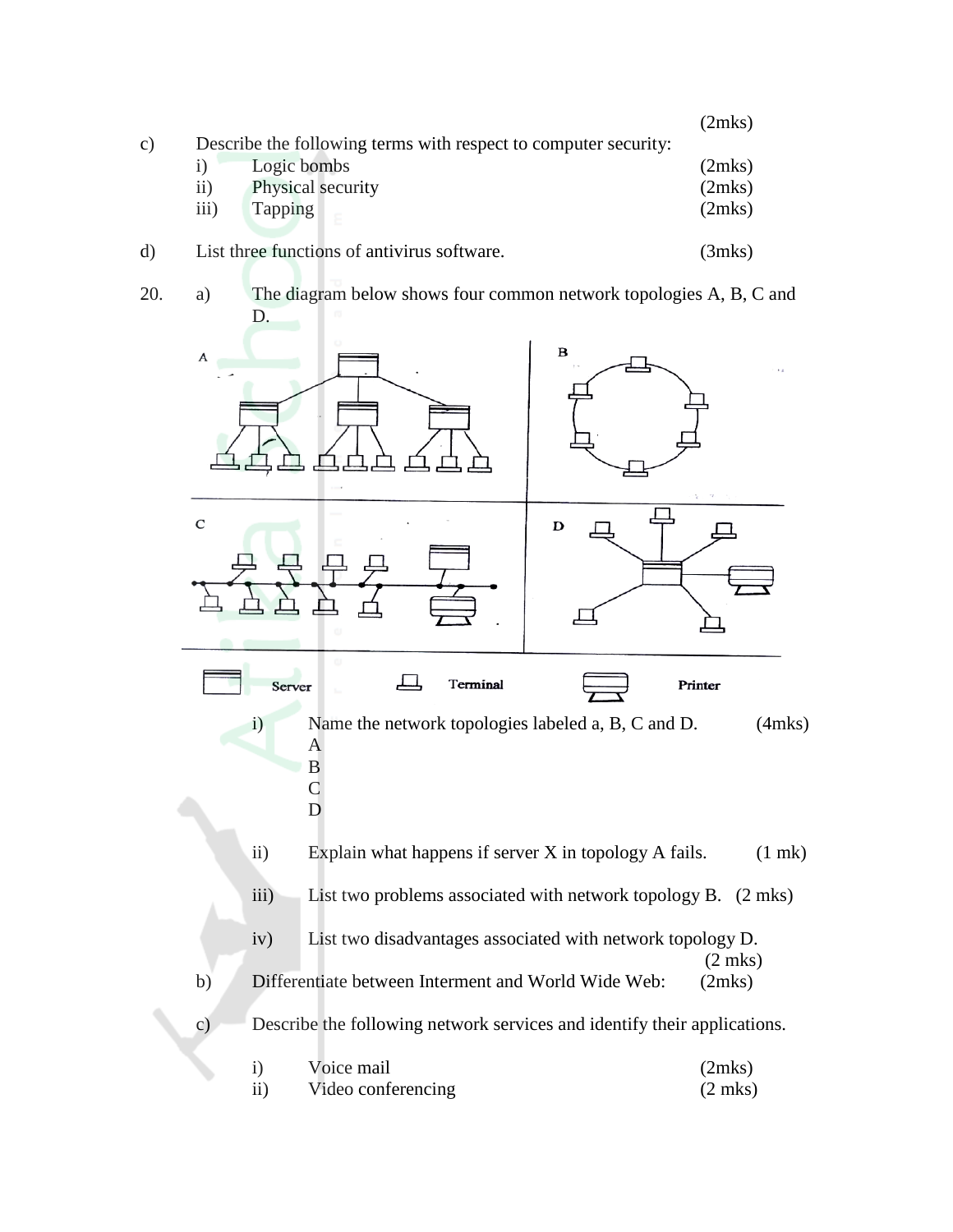|               |                 |                                                                 | (2mks) |
|---------------|-----------------|-----------------------------------------------------------------|--------|
| $\mathbf{c})$ |                 | Describe the following terms with respect to computer security: |        |
|               |                 | Logic bombs                                                     | (2mks) |
|               | $\overline{11}$ | Physical security                                               | (2mks) |
|               | iii)            | <b>Tapping</b>                                                  | (2mks) |
| $\rm d$       |                 | List three functions of antivirus software.                     | (3mks) |

20. a) The diagram below shows four common network topologies A, B, C and D.

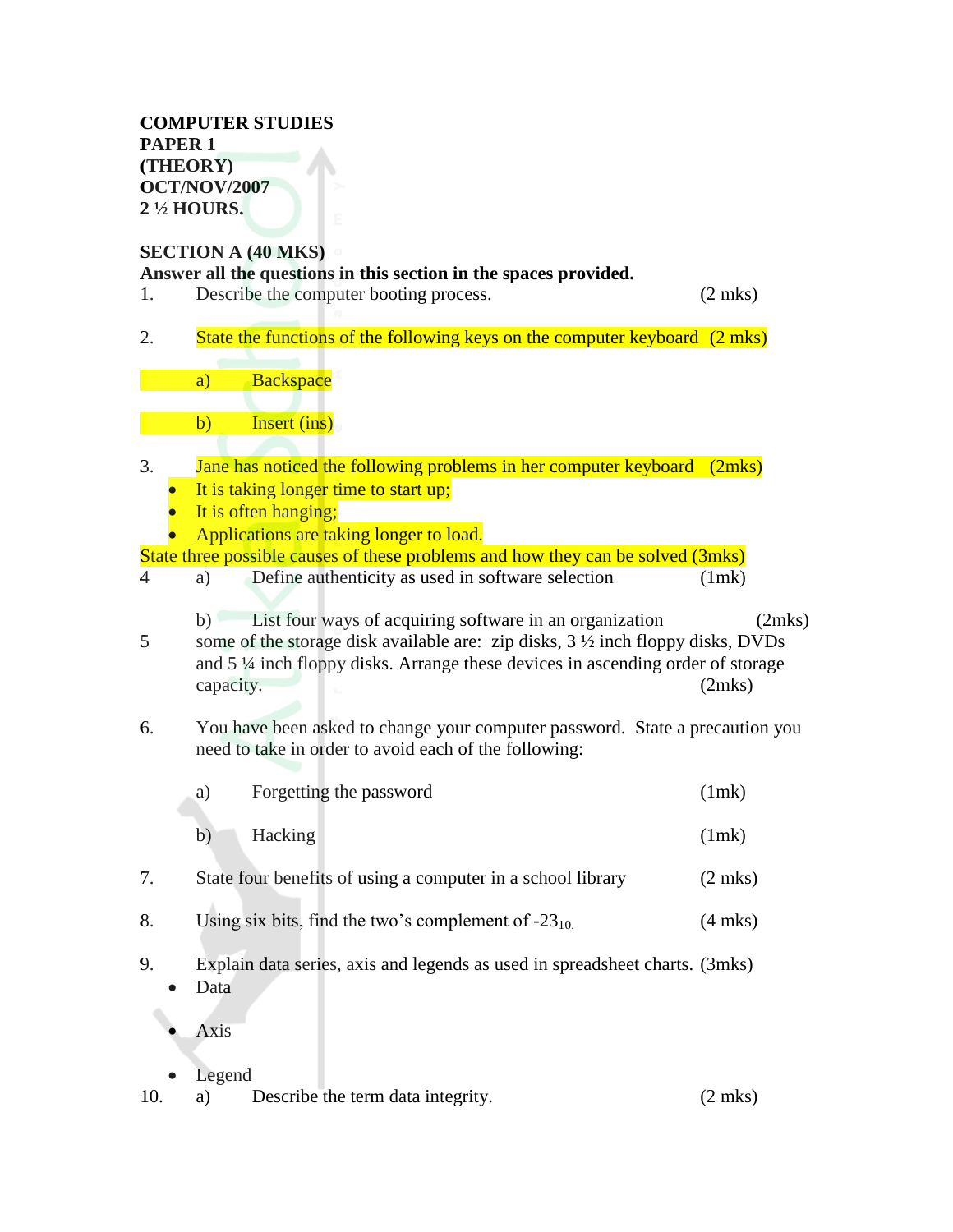#### **COMPUTER STUDIES PAPER 1 (THEORY) OCT/NOV/2007 2 ½ HOURS.**

# **SECTION A (40 MKS)**

|                | $D$ <b>DECATOR</b><br>Answer all the questions in this section in the spaces provided.                                                                                                                                                                      |                  |
|----------------|-------------------------------------------------------------------------------------------------------------------------------------------------------------------------------------------------------------------------------------------------------------|------------------|
| 1.             | Describe the computer booting process.                                                                                                                                                                                                                      | $(2$ mks)        |
| 2.             | State the functions of the following keys on the computer keyboard (2 mks)                                                                                                                                                                                  |                  |
|                | <b>Backspace</b><br>a)                                                                                                                                                                                                                                      |                  |
|                | Insert (ins)<br>$\mathbf{b}$                                                                                                                                                                                                                                |                  |
| 3.             | Jane has noticed the following problems in her computer keyboard                                                                                                                                                                                            | (2mks)           |
|                | It is taking longer time to start up;                                                                                                                                                                                                                       |                  |
|                | It is often hanging;                                                                                                                                                                                                                                        |                  |
|                | Applications are taking longer to load.                                                                                                                                                                                                                     |                  |
|                | State three possible causes of these problems and how they can be solved (3mks)                                                                                                                                                                             |                  |
| $\overline{4}$ | Define authenticity as used in software selection<br>a)                                                                                                                                                                                                     | (1mk)            |
| 5              | List four ways of acquiring software in an organization<br>b)<br>some of the storage disk available are: zip disks, $3\frac{1}{2}$ inch floppy disks, DVDs<br>and 5 1/4 inch floppy disks. Arrange these devices in ascending order of storage<br>capacity. | (2mks)<br>(2mks) |
| 6.             | You have been asked to change your computer password. State a precaution you<br>need to take in order to avoid each of the following:                                                                                                                       |                  |
|                | Forgetting the password<br>a)                                                                                                                                                                                                                               | (1mk)            |
|                | Hacking<br>b)                                                                                                                                                                                                                                               | (1mk)            |
| 7.             | State four benefits of using a computer in a school library                                                                                                                                                                                                 | $(2$ mks)        |
| 8.             | Using six bits, find the two's complement of $-23_{10}$ .                                                                                                                                                                                                   | $(4$ mks $)$     |
| 9.             | Explain data series, axis and legends as used in spreadsheet charts. (3mks)<br>Data                                                                                                                                                                         |                  |
|                | Axis                                                                                                                                                                                                                                                        |                  |

- 
- Legend<br>10. a)  $\begin{bmatrix} 1 & 0 \\ 0 & 1 \end{bmatrix}$ Describe the term data integrity. (2 mks)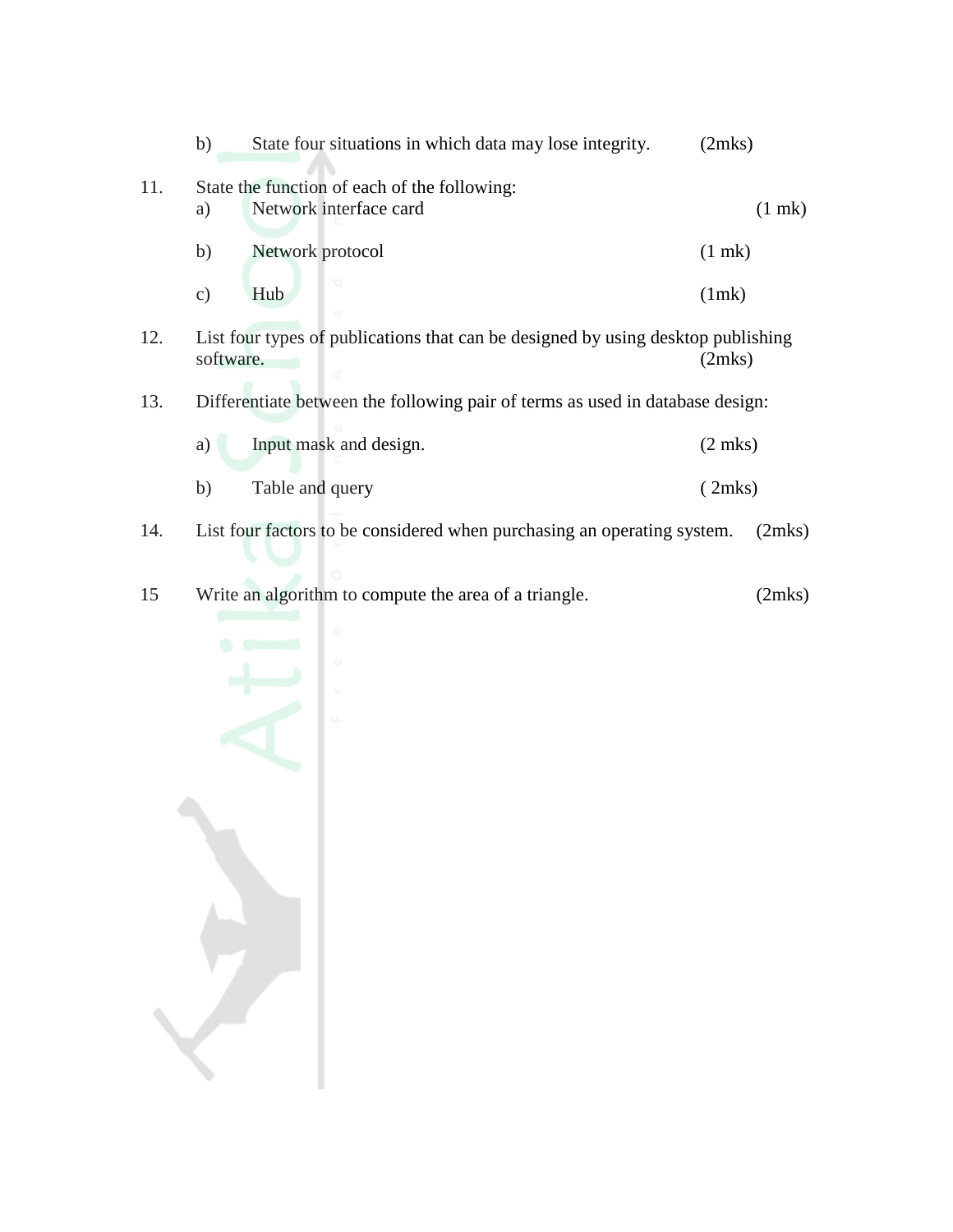|     | b)            | State four situations in which data may lose integrity.                          | (2mks)            |             |
|-----|---------------|----------------------------------------------------------------------------------|-------------------|-------------|
| 11. | a)            | State the function of each of the following:<br>Network interface card           |                   | $(1$ mk $)$ |
|     | b)            | Network protocol                                                                 | $(1$ mk)          |             |
|     | $\mathbf{c})$ | Hub                                                                              | (1mk)             |             |
| 12. | software.     | List four types of publications that can be designed by using desktop publishing | (2mks)            |             |
| 13. |               | Differentiate between the following pair of terms as used in database design:    |                   |             |
|     | a)            | Input mask and design.                                                           | $(2 \text{ mks})$ |             |
|     | b)            | Table and query                                                                  | (2mks)            |             |
| 14. |               | List four factors to be considered when purchasing an operating system.          |                   | (2mks)      |

15 Write an algorithm to compute the area of a triangle. (2mks)

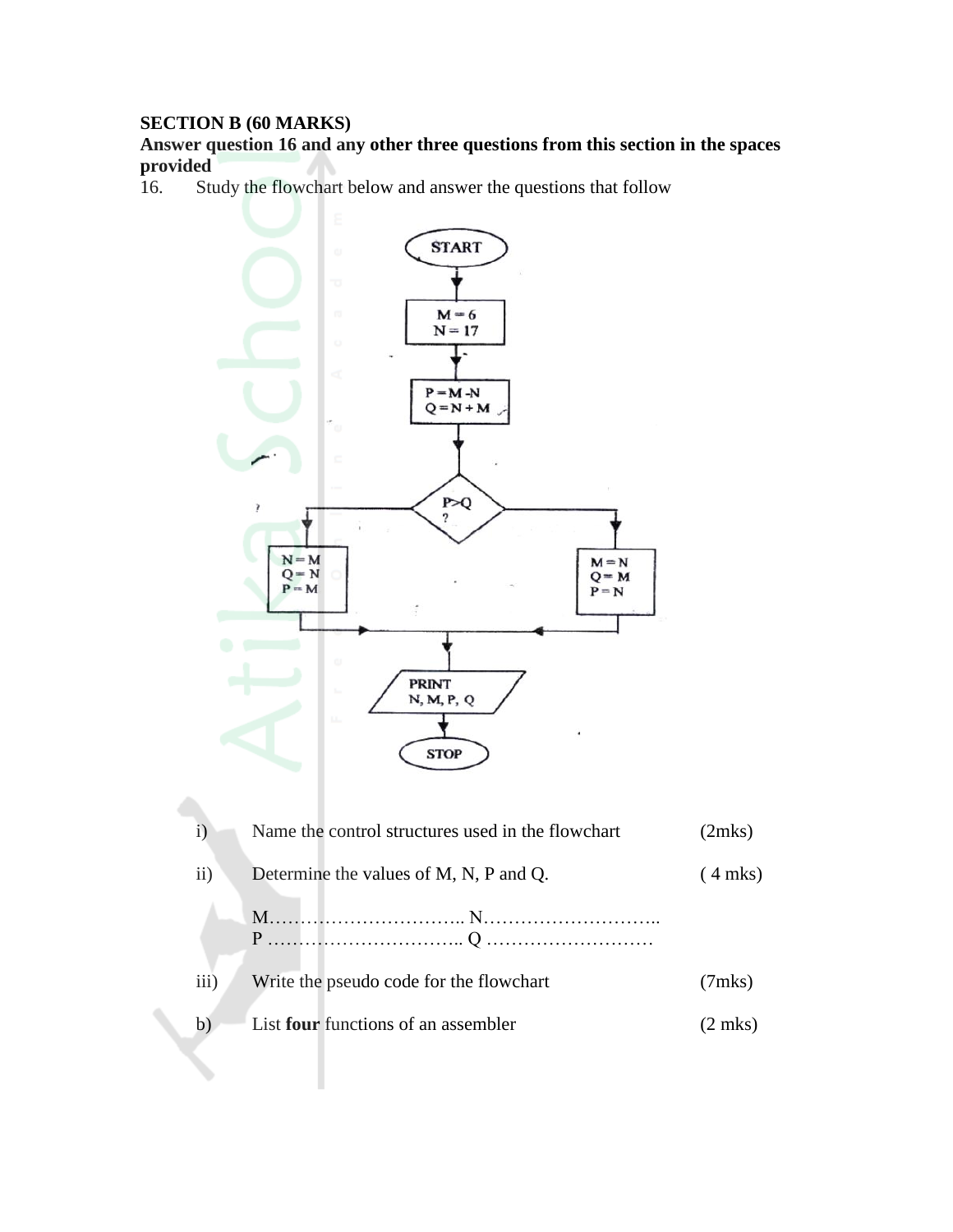#### **SECTION B (60 MARKS)**

#### **Answer question 16 and any other three questions from this section in the spaces provided**

16. Study the flowchart below and answer the questions that follow



| $\mathbf{i}$ | Name the control structures used in the flowchart | (2mks)          |
|--------------|---------------------------------------------------|-----------------|
| ii)          | Determine the values of M, N, P and Q.            | $(4$ mks)       |
|              |                                                   |                 |
| iii)         | Write the pseudo code for the flowchart           | $(7$ mks $)$    |
| b            | List <b>four</b> functions of an assembler        | $\gamma$ 2 mks) |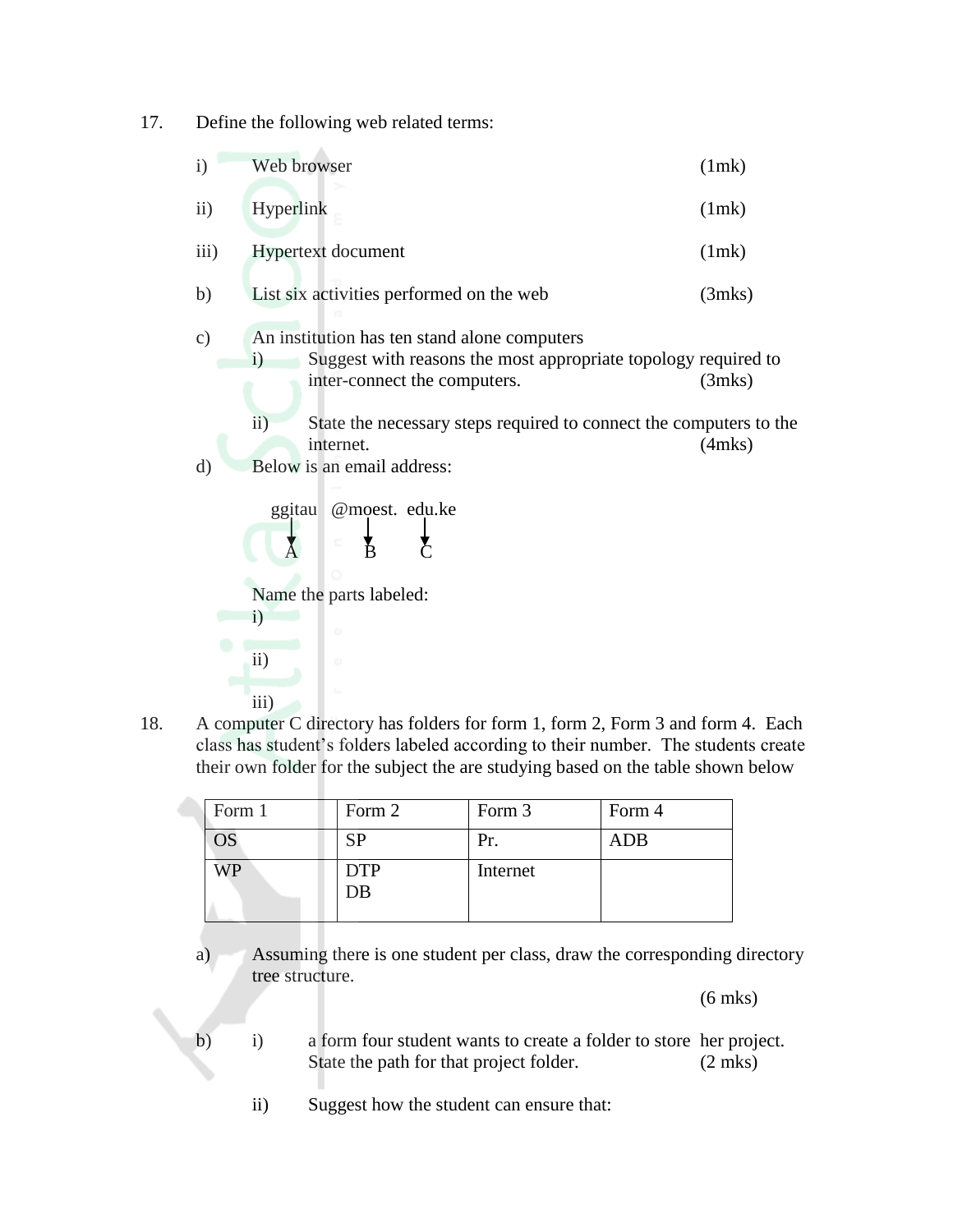17. Define the following web related terms:

| $\mathbf{i}$  | Web browser                                                                                                                                                                                                                                                                                                                                                                                               | (1mk)                        |
|---------------|-----------------------------------------------------------------------------------------------------------------------------------------------------------------------------------------------------------------------------------------------------------------------------------------------------------------------------------------------------------------------------------------------------------|------------------------------|
| $\mathbf{ii}$ | Hyperlink                                                                                                                                                                                                                                                                                                                                                                                                 | (1mk)                        |
| iii)          | Hypertext document                                                                                                                                                                                                                                                                                                                                                                                        | (1mk)                        |
| b)            | List six activities performed on the web                                                                                                                                                                                                                                                                                                                                                                  | (3mks)                       |
| c)<br>d)      | An institution has ten stand alone computers<br>Suggest with reasons the most appropriate topology required to<br>$\mathbf{i}$<br>inter-connect the computers.<br>$\overline{ii}$ )<br>State the necessary steps required to connect the computers to the<br>internet.<br>Below is an email address:<br>ggitau<br>@moest. edu.ke<br>Ř<br>Name the parts labeled:<br>$\ddot{1}$<br>ω<br>$\mathbf{ii}$<br>ω | $(3$ mks $)$<br>$(4$ mks $)$ |
|               | $\overline{iii}$ )                                                                                                                                                                                                                                                                                                                                                                                        |                              |

18. A computer C directory has folders for form 1, form 2, Form 3 and form 4. Each class has student's folders labeled according to their number. The students create their own folder for the subject the are studying based on the table shown below

| Form 1                   | Form 2           | Form 3   | Form 4     |
|--------------------------|------------------|----------|------------|
| $\overline{\mathrm{OS}}$ | ςр               | Pr.      | <b>ADB</b> |
| NР                       | <b>DTP</b><br>DB | Internet |            |

a) Assuming there is one student per class, draw the corresponding directory tree structure.

(6 mks)

- b) i) a form four student wants to create a folder to store her project. State the path for that project folder. (2 mks)
	- ii) Suggest how the student can ensure that: